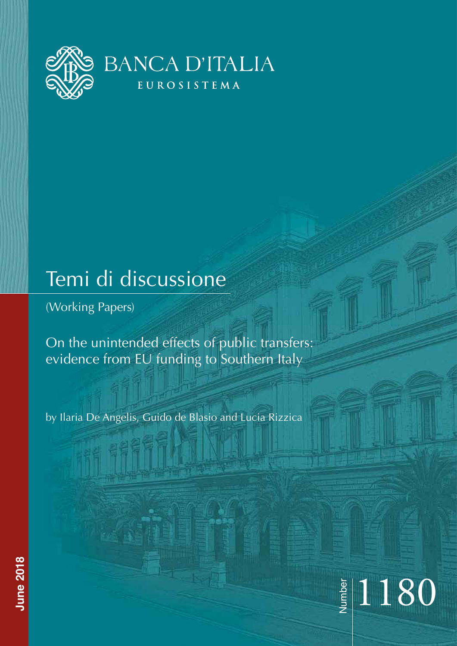

# Temi di discussione

(Working Papers)

On the unintended effects of public transfers: evidence from EU funding to Southern Italy

by Ilaria De Angelis, Guido de Blasio and Lucia Rizzica

**June 2018 June 2018**

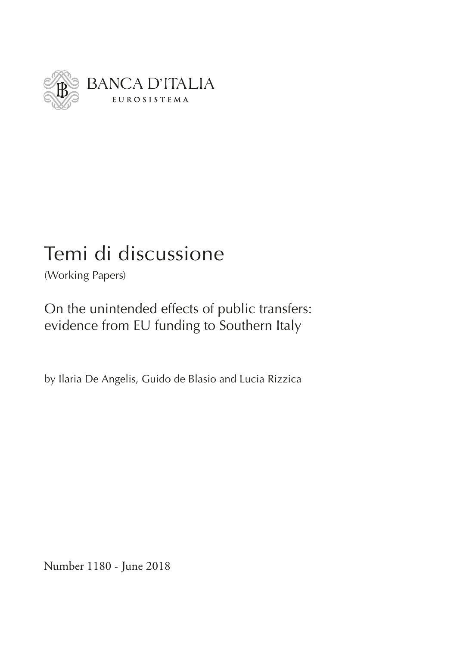

## Temi di discussione

(Working Papers)

On the unintended effects of public transfers: evidence from EU funding to Southern Italy

by Ilaria De Angelis, Guido de Blasio and Lucia Rizzica

Number 1180 - June 2018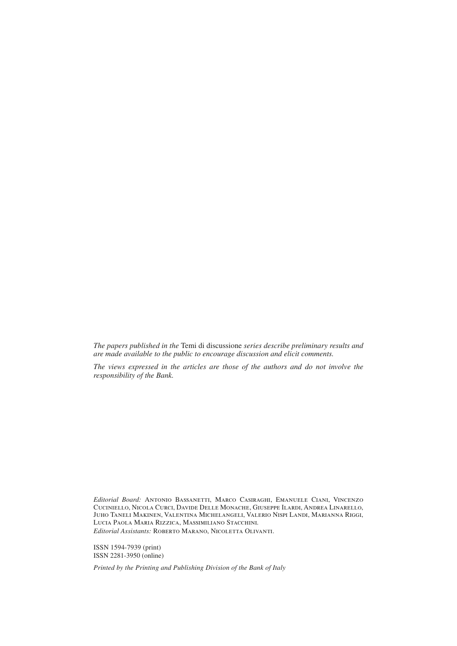*The papers published in the* Temi di discussione *series describe preliminary results and are made available to the public to encourage discussion and elicit comments.*

*The views expressed in the articles are those of the authors and do not involve the responsibility of the Bank.*

*Editorial Board:* Antonio Bassanetti, Marco Casiraghi, Emanuele Ciani, Vincenzo Cuciniello, Nicola Curci, Davide Delle Monache, Giuseppe Ilardi, Andrea Linarello, Juho Taneli Makinen, Valentina Michelangeli, Valerio Nispi Landi, Marianna Riggi, Lucia Paola Maria Rizzica, Massimiliano Stacchini*. Editorial Assistants:* Roberto Marano, Nicoletta Olivanti.

ISSN 1594-7939 (print) ISSN 2281-3950 (online)

*Printed by the Printing and Publishing Division of the Bank of Italy*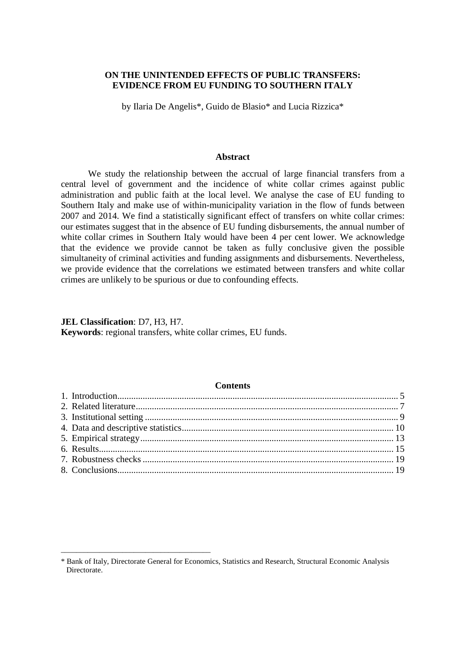#### **ON THE UNINTENDED EFFECTS OF PUBLIC TRANSFERS: EVIDENCE FROM EU FUNDING TO SOUTHERN ITALY**

by Ilaria De Angelis\*, Guido de Blasio\* and Lucia Rizzica\*

#### **Abstract**

We study the relationship between the accrual of large financial transfers from a central level of government and the incidence of white collar crimes against public administration and public faith at the local level. We analyse the case of EU funding to Southern Italy and make use of within-municipality variation in the flow of funds between 2007 and 2014. We find a statistically significant effect of transfers on white collar crimes: our estimates suggest that in the absence of EU funding disbursements, the annual number of white collar crimes in Southern Italy would have been 4 per cent lower. We acknowledge that the evidence we provide cannot be taken as fully conclusive given the possible simultaneity of criminal activities and funding assignments and disbursements. Nevertheless, we provide evidence that the correlations we estimated between transfers and white collar crimes are unlikely to be spurious or due to confounding effects.

#### **JEL Classification**: D7, H3, H7.

\_\_\_\_\_\_\_\_\_\_\_\_\_\_\_\_\_\_\_\_\_\_\_\_\_\_\_\_\_\_\_\_\_\_\_\_\_\_\_

**Keywords**: regional transfers, white collar crimes, EU funds.

#### **Contents**

<sup>\*</sup> Bank of Italy, Directorate General for Economics, Statistics and Research, Structural Economic Analysis Directorate.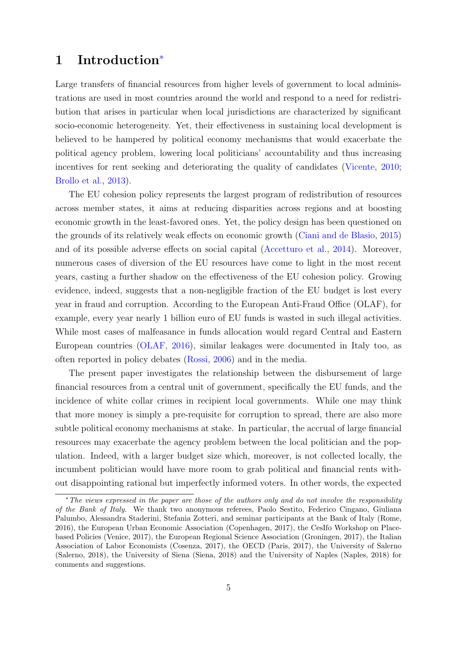## 1 Introduction[∗](#page-6-0)

Large transfers of financial resources from higher levels of government to local administrations are used in most countries around the world and respond to a need for redistribution that arises in particular when local jurisdictions are characterized by significant socio-economic heterogeneity. Yet, their effectiveness in sustaining local development is believed to be hampered by political economy mechanisms that would exacerbate the political agency problem, lowering local politicians' accountability and thus increasing incentives for rent seeking and deteriorating the quality of candidates [\(Vicente,](#page-31-0) [2010;](#page-31-0) [Brollo et al.,](#page-29-0) [2013\)](#page-29-0).

The EU cohesion policy represents the largest program of redistribution of resources across member states, it aims at reducing disparities across regions and at boosting economic growth in the least-favored ones. Yet, the policy design has been questioned on the grounds of its relatively weak effects on economic growth [\(Ciani and de Blasio,](#page-30-0) [2015\)](#page-30-0) and of its possible adverse effects on social capital [\(Accetturo et al.,](#page-29-1) [2014\)](#page-29-1). Moreover, numerous cases of diversion of the EU resources have come to light in the most recent years, casting a further shadow on the effectiveness of the EU cohesion policy. Growing evidence, indeed, suggests that a non-negligible fraction of the EU budget is lost every year in fraud and corruption. According to the European Anti-Fraud Office (OLAF), for example, every year nearly 1 billion euro of EU funds is wasted in such illegal activities. While most cases of malfeasance in funds allocation would regard Central and Eastern European countries [\(OLAF,](#page-31-1) [2016\)](#page-31-1), similar leakages were documented in Italy too, as often reported in policy debates [\(Rossi,](#page-31-2) [2006\)](#page-31-2) and in the media.

The present paper investigates the relationship between the disbursement of large financial resources from a central unit of government, specifically the EU funds, and the incidence of white collar crimes in recipient local governments. While one may think that more money is simply a pre-requisite for corruption to spread, there are also more subtle political economy mechanisms at stake. In particular, the accrual of large financial resources may exacerbate the agency problem between the local politician and the population. Indeed, with a larger budget size which, moreover, is not collected locally, the incumbent politician would have more room to grab political and financial rents without disappointing rational but imperfectly informed voters. In other words, the expected

<span id="page-6-0"></span><sup>∗</sup>The views expressed in the paper are those of the authors only and do not involve the responsibility of the Bank of Italy. We thank two anonymous referees, Paolo Sestito, Federico Cingano, Giuliana Palumbo, Alessandra Staderini, Stefania Zotteri, and seminar participants at the Bank of Italy (Rome, 2016), the European Urban Economic Association (Copenhagen, 2017), the CesIfo Workshop on Placebased Policies (Venice, 2017), the European Regional Science Association (Groningen, 2017), the Italian Association of Labor Economists (Cosenza, 2017), the OECD (Paris, 2017), the University of Salerno (Salerno, 2018), the University of Siena (Siena, 2018) and the University of Naples (Naples, 2018) for comments and suggestions.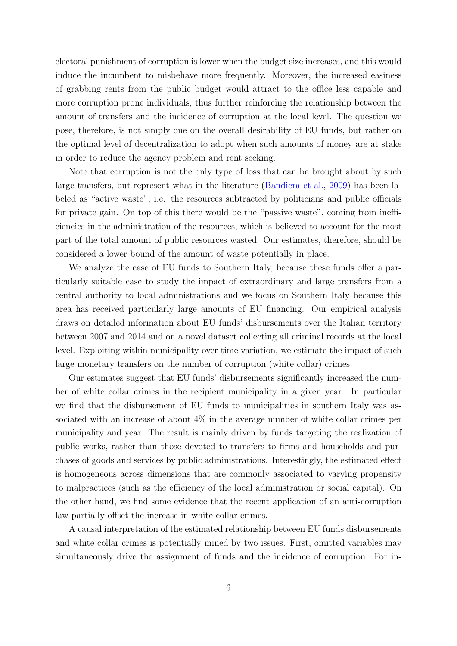electoral punishment of corruption is lower when the budget size increases, and this would induce the incumbent to misbehave more frequently. Moreover, the increased easiness of grabbing rents from the public budget would attract to the office less capable and more corruption prone individuals, thus further reinforcing the relationship between the amount of transfers and the incidence of corruption at the local level. The question we pose, therefore, is not simply one on the overall desirability of EU funds, but rather on the optimal level of decentralization to adopt when such amounts of money are at stake in order to reduce the agency problem and rent seeking.

Note that corruption is not the only type of loss that can be brought about by such large transfers, but represent what in the literature [\(Bandiera et al.,](#page-29-2) [2009\)](#page-29-2) has been labeled as "active waste", i.e. the resources subtracted by politicians and public officials for private gain. On top of this there would be the "passive waste", coming from inefficiencies in the administration of the resources, which is believed to account for the most part of the total amount of public resources wasted. Our estimates, therefore, should be considered a lower bound of the amount of waste potentially in place.

We analyze the case of EU funds to Southern Italy, because these funds offer a particularly suitable case to study the impact of extraordinary and large transfers from a central authority to local administrations and we focus on Southern Italy because this area has received particularly large amounts of EU financing. Our empirical analysis draws on detailed information about EU funds' disbursements over the Italian territory between 2007 and 2014 and on a novel dataset collecting all criminal records at the local level. Exploiting within municipality over time variation, we estimate the impact of such large monetary transfers on the number of corruption (white collar) crimes.

Our estimates suggest that EU funds' disbursements significantly increased the number of white collar crimes in the recipient municipality in a given year. In particular we find that the disbursement of EU funds to municipalities in southern Italy was associated with an increase of about 4% in the average number of white collar crimes per municipality and year. The result is mainly driven by funds targeting the realization of public works, rather than those devoted to transfers to firms and households and purchases of goods and services by public administrations. Interestingly, the estimated effect is homogeneous across dimensions that are commonly associated to varying propensity to malpractices (such as the efficiency of the local administration or social capital). On the other hand, we find some evidence that the recent application of an anti-corruption law partially offset the increase in white collar crimes.

A causal interpretation of the estimated relationship between EU funds disbursements and white collar crimes is potentially mined by two issues. First, omitted variables may simultaneously drive the assignment of funds and the incidence of corruption. For in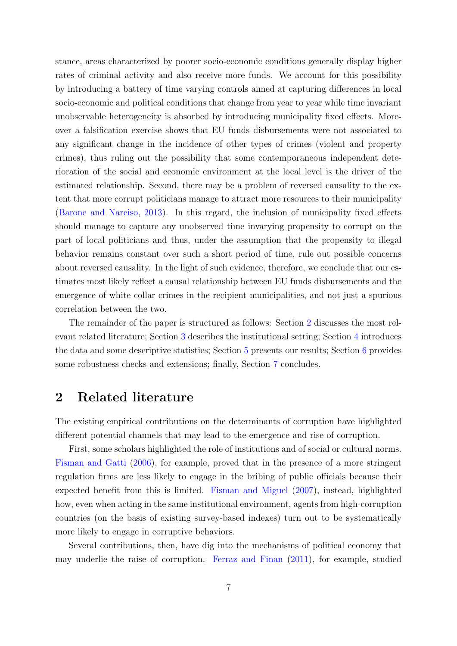stance, areas characterized by poorer socio-economic conditions generally display higher rates of criminal activity and also receive more funds. We account for this possibility by introducing a battery of time varying controls aimed at capturing differences in local socio-economic and political conditions that change from year to year while time invariant unobservable heterogeneity is absorbed by introducing municipality fixed effects. Moreover a falsification exercise shows that EU funds disbursements were not associated to any significant change in the incidence of other types of crimes (violent and property crimes), thus ruling out the possibility that some contemporaneous independent deterioration of the social and economic environment at the local level is the driver of the estimated relationship. Second, there may be a problem of reversed causality to the extent that more corrupt politicians manage to attract more resources to their municipality [\(Barone and Narciso,](#page-29-3) [2013\)](#page-29-3). In this regard, the inclusion of municipality fixed effects should manage to capture any unobserved time invarying propensity to corrupt on the part of local politicians and thus, under the assumption that the propensity to illegal behavior remains constant over such a short period of time, rule out possible concerns about reversed causality. In the light of such evidence, therefore, we conclude that our estimates most likely reflect a causal relationship between EU funds disbursements and the emergence of white collar crimes in the recipient municipalities, and not just a spurious correlation between the two.

The remainder of the paper is structured as follows: Section [2](#page-8-0) discusses the most relevant related literature; Section [3](#page-10-0) describes the institutional setting; Section [4](#page-11-0) introduces the data and some descriptive statistics; Section [5](#page-14-0) presents our results; Section [6](#page-16-0) provides some robustness checks and extensions; finally, Section [7](#page-19-0) concludes.

### <span id="page-8-0"></span>2 Related literature

The existing empirical contributions on the determinants of corruption have highlighted different potential channels that may lead to the emergence and rise of corruption.

First, some scholars highlighted the role of institutions and of social or cultural norms. [Fisman and Gatti](#page-30-1) [\(2006\)](#page-30-1), for example, proved that in the presence of a more stringent regulation firms are less likely to engage in the bribing of public officials because their expected benefit from this is limited. [Fisman and Miguel](#page-30-2) [\(2007\)](#page-30-2), instead, highlighted how, even when acting in the same institutional environment, agents from high-corruption countries (on the basis of existing survey-based indexes) turn out to be systematically more likely to engage in corruptive behaviors.

Several contributions, then, have dig into the mechanisms of political economy that may underlie the raise of corruption. [Ferraz and Finan](#page-30-3) [\(2011\)](#page-30-3), for example, studied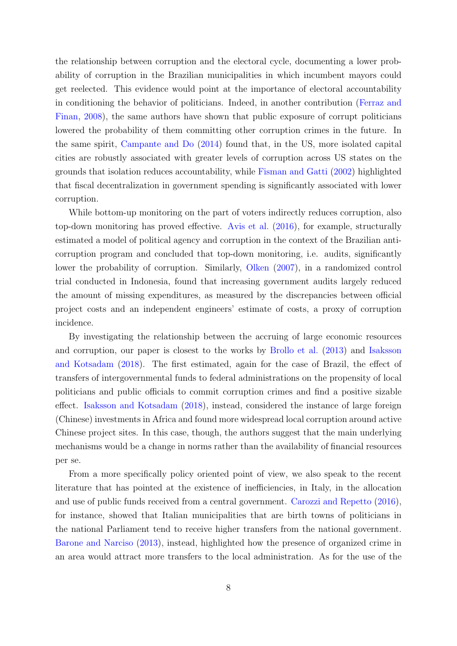the relationship between corruption and the electoral cycle, documenting a lower probability of corruption in the Brazilian municipalities in which incumbent mayors could get reelected. This evidence would point at the importance of electoral accountability in conditioning the behavior of politicians. Indeed, in another contribution [\(Ferraz and](#page-30-4) [Finan,](#page-30-4) [2008\)](#page-30-4), the same authors have shown that public exposure of corrupt politicians lowered the probability of them committing other corruption crimes in the future. In the same spirit, [Campante and Do](#page-30-5) [\(2014\)](#page-30-5) found that, in the US, more isolated capital cities are robustly associated with greater levels of corruption across US states on the grounds that isolation reduces accountability, while [Fisman and Gatti](#page-30-6) [\(2002\)](#page-30-6) highlighted that fiscal decentralization in government spending is significantly associated with lower corruption.

While bottom-up monitoring on the part of voters indirectly reduces corruption, also top-down monitoring has proved effective. [Avis et al.](#page-29-4) [\(2016\)](#page-29-4), for example, structurally estimated a model of political agency and corruption in the context of the Brazilian anticorruption program and concluded that top-down monitoring, i.e. audits, significantly lower the probability of corruption. Similarly, [Olken](#page-31-3) [\(2007\)](#page-31-3), in a randomized control trial conducted in Indonesia, found that increasing government audits largely reduced the amount of missing expenditures, as measured by the discrepancies between official project costs and an independent engineers' estimate of costs, a proxy of corruption incidence.

By investigating the relationship between the accruing of large economic resources and corruption, our paper is closest to the works by [Brollo et al.](#page-29-0) [\(2013\)](#page-29-0) and [Isaksson](#page-31-4) [and Kotsadam](#page-31-4) [\(2018\)](#page-31-4). The first estimated, again for the case of Brazil, the effect of transfers of intergovernmental funds to federal administrations on the propensity of local politicians and public officials to commit corruption crimes and find a positive sizable effect. [Isaksson and Kotsadam](#page-31-4) [\(2018\)](#page-31-4), instead, considered the instance of large foreign (Chinese) investments in Africa and found more widespread local corruption around active Chinese project sites. In this case, though, the authors suggest that the main underlying mechanisms would be a change in norms rather than the availability of financial resources per se.

From a more specifically policy oriented point of view, we also speak to the recent literature that has pointed at the existence of inefficiencies, in Italy, in the allocation and use of public funds received from a central government. [Carozzi and Repetto](#page-30-7) [\(2016\)](#page-30-7), for instance, showed that Italian municipalities that are birth towns of politicians in the national Parliament tend to receive higher transfers from the national government. [Barone and Narciso](#page-29-3) [\(2013\)](#page-29-3), instead, highlighted how the presence of organized crime in an area would attract more transfers to the local administration. As for the use of the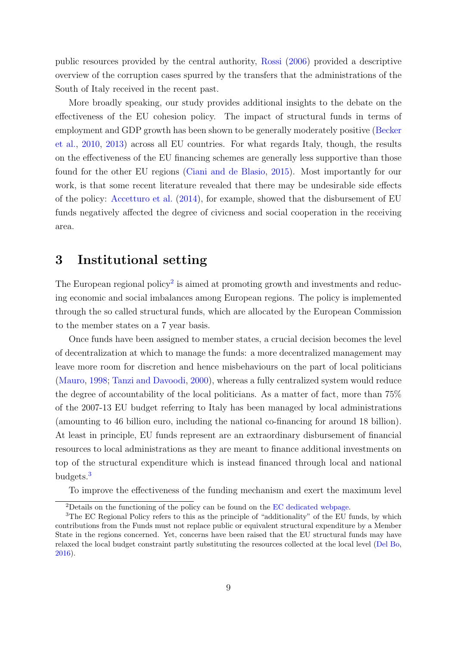public resources provided by the central authority, [Rossi](#page-31-2) [\(2006\)](#page-31-2) provided a descriptive overview of the corruption cases spurred by the transfers that the administrations of the South of Italy received in the recent past.

More broadly speaking, our study provides additional insights to the debate on the effectiveness of the EU cohesion policy. The impact of structural funds in terms of employment and GDP growth has been shown to be generally moderately positive [\(Becker](#page-29-5) [et al.,](#page-29-5) [2010,](#page-29-5) [2013\)](#page-29-6) across all EU countries. For what regards Italy, though, the results on the effectiveness of the EU financing schemes are generally less supportive than those found for the other EU regions [\(Ciani and de Blasio,](#page-30-0) [2015\)](#page-30-0). Most importantly for our work, is that some recent literature revealed that there may be undesirable side effects of the policy: [Accetturo et al.](#page-29-1) [\(2014\)](#page-29-1), for example, showed that the disbursement of EU funds negatively affected the degree of civicness and social cooperation in the receiving area.

## <span id="page-10-0"></span>3 Institutional setting

The European regional policy<sup>[2](#page-10-1)</sup> is aimed at promoting growth and investments and reducing economic and social imbalances among European regions. The policy is implemented through the so called structural funds, which are allocated by the European Commission to the member states on a 7 year basis.

Once funds have been assigned to member states, a crucial decision becomes the level of decentralization at which to manage the funds: a more decentralized management may leave more room for discretion and hence misbehaviours on the part of local politicians [\(Mauro,](#page-31-5) [1998;](#page-31-5) [Tanzi and Davoodi,](#page-31-6) [2000\)](#page-31-6), whereas a fully centralized system would reduce the degree of accountability of the local politicians. As a matter of fact, more than 75% of the 2007-13 EU budget referring to Italy has been managed by local administrations (amounting to 46 billion euro, including the national co-financing for around 18 billion). At least in principle, EU funds represent are an extraordinary disbursement of financial resources to local administrations as they are meant to finance additional investments on top of the structural expenditure which is instead financed through local and national budgets.[3](#page-10-2)

To improve the effectiveness of the funding mechanism and exert the maximum level

<span id="page-10-2"></span><span id="page-10-1"></span><sup>2</sup>Details on the functioning of the policy can be found on the [EC dedicated webpage.](http://ec.europa.eu/regional_policy/en/policy/what/investment-policy/)

<sup>&</sup>lt;sup>3</sup>The EC Regional Policy refers to this as the principle of "additionality" of the EU funds, by which contributions from the Funds must not replace public or equivalent structural expenditure by a Member State in the regions concerned. Yet, concerns have been raised that the EU structural funds may have relaxed the local budget constraint partly substituting the resources collected at the local level [\(Del Bo,](#page-30-8) [2016\)](#page-30-8).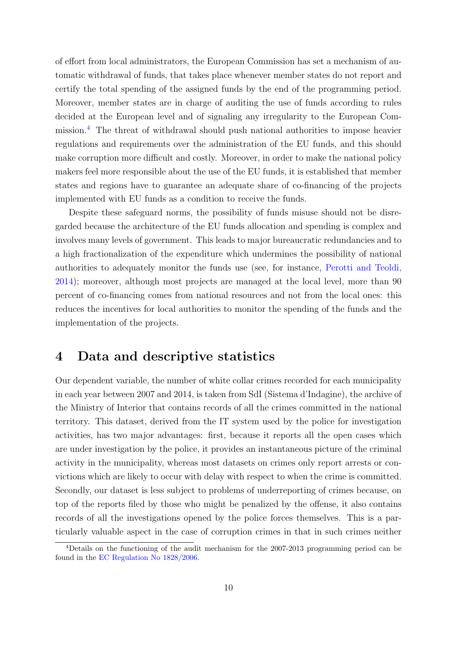of effort from local administrators, the European Commission has set a mechanism of automatic withdrawal of funds, that takes place whenever member states do not report and certify the total spending of the assigned funds by the end of the programming period. Moreover, member states are in charge of auditing the use of funds according to rules decided at the European level and of signaling any irregularity to the European Commission.[4](#page-11-1) The threat of withdrawal should push national authorities to impose heavier regulations and requirements over the administration of the EU funds, and this should make corruption more difficult and costly. Moreover, in order to make the national policy makers feel more responsible about the use of the EU funds, it is established that member states and regions have to guarantee an adequate share of co-financing of the projects implemented with EU funds as a condition to receive the funds.

Despite these safeguard norms, the possibility of funds misuse should not be disregarded because the architecture of the EU funds allocation and spending is complex and involves many levels of government. This leads to major bureaucratic redundancies and to a high fractionalization of the expenditure which undermines the possibility of national authorities to adequately monitor the funds use (see, for instance, [Perotti and Teoldi,](http://www.lavoce.info/archives/20835/fondi-strutturali-europei-disastro/) [2014\)](http://www.lavoce.info/archives/20835/fondi-strutturali-europei-disastro/); moreover, although most projects are managed at the local level, more than 90 percent of co-financing comes from national resources and not from the local ones: this reduces the incentives for local authorities to monitor the spending of the funds and the implementation of the projects.

## <span id="page-11-0"></span>4 Data and descriptive statistics

Our dependent variable, the number of white collar crimes recorded for each municipality in each year between 2007 and 2014, is taken from SdI (Sistema d'Indagine), the archive of the Ministry of Interior that contains records of all the crimes committed in the national territory. This dataset, derived from the IT system used by the police for investigation activities, has two major advantages: first, because it reports all the open cases which are under investigation by the police, it provides an instantaneous picture of the criminal activity in the municipality, whereas most datasets on crimes only report arrests or convictions which are likely to occur with delay with respect to when the crime is committed. Secondly, our dataset is less subject to problems of underreporting of crimes because, on top of the reports filed by those who might be penalized by the offense, it also contains records of all the investigations opened by the police forces themselves. This is a particularly valuable aspect in the case of corruption crimes in that in such crimes neither

<span id="page-11-1"></span><sup>4</sup>Details on the functioning of the audit mechanism for the 2007-2013 programming period can be found in the [EC Regulation No 1828/2006.](http://eur-lex.europa.eu/legal-content/IT/ALL/?uri=CELEX:32006R1828)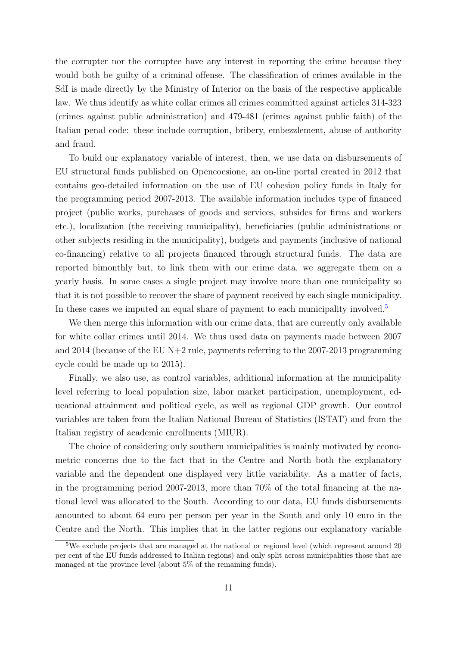the corrupter nor the corruptee have any interest in reporting the crime because they would both be guilty of a criminal offense. The classification of crimes available in the SdI is made directly by the Ministry of Interior on the basis of the respective applicable law. We thus identify as white collar crimes all crimes committed against articles 314-323 (crimes against public administration) and 479-481 (crimes against public faith) of the Italian penal code: these include corruption, bribery, embezzlement, abuse of authority and fraud.

To build our explanatory variable of interest, then, we use data on disbursements of EU structural funds published on Opencoesione, an on-line portal created in 2012 that contains geo-detailed information on the use of EU cohesion policy funds in Italy for the programming period 2007-2013. The available information includes type of financed project (public works, purchases of goods and services, subsides for firms and workers etc.), localization (the receiving municipality), beneficiaries (public administrations or other subjects residing in the municipality), budgets and payments (inclusive of national co-financing) relative to all projects financed through structural funds. The data are reported bimonthly but, to link them with our crime data, we aggregate them on a yearly basis. In some cases a single project may involve more than one municipality so that it is not possible to recover the share of payment received by each single municipality. In these cases we imputed an equal share of payment to each municipality involved.<sup>[5](#page-12-0)</sup>

We then merge this information with our crime data, that are currently only available for white collar crimes until 2014. We thus used data on payments made between 2007 and 2014 (because of the EU N+2 rule, payments referring to the 2007-2013 programming cycle could be made up to 2015).

Finally, we also use, as control variables, additional information at the municipality level referring to local population size, labor market participation, unemployment, educational attainment and political cycle, as well as regional GDP growth. Our control variables are taken from the Italian National Bureau of Statistics (ISTAT) and from the Italian registry of academic enrollments (MIUR).

The choice of considering only southern municipalities is mainly motivated by econometric concerns due to the fact that in the Centre and North both the explanatory variable and the dependent one displayed very little variability. As a matter of facts, in the programming period 2007-2013, more than 70% of the total financing at the national level was allocated to the South. According to our data, EU funds disbursements amounted to about 64 euro per person per year in the South and only 10 euro in the Centre and the North. This implies that in the latter regions our explanatory variable

<span id="page-12-0"></span><sup>&</sup>lt;sup>5</sup>We exclude projects that are managed at the national or regional level (which represent around 20 per cent of the EU funds addressed to Italian regions) and only split across municipalities those that are managed at the province level (about 5% of the remaining funds).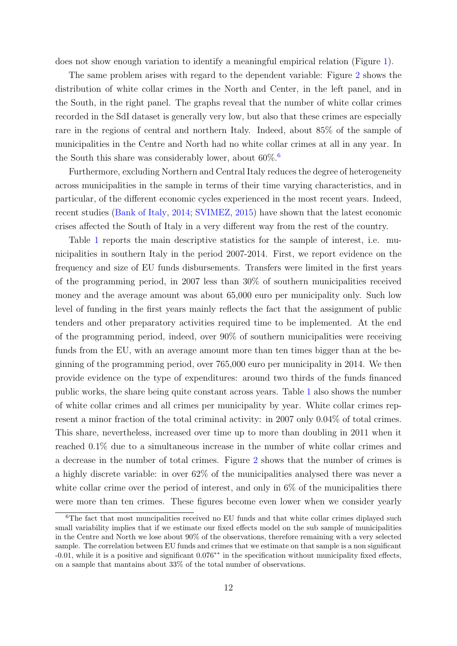does not show enough variation to identify a meaningful empirical relation (Figure [1\)](#page-22-0).

The same problem arises with regard to the dependent variable: Figure [2](#page-22-1) shows the distribution of white collar crimes in the North and Center, in the left panel, and in the South, in the right panel. The graphs reveal that the number of white collar crimes recorded in the SdI dataset is generally very low, but also that these crimes are especially rare in the regions of central and northern Italy. Indeed, about 85% of the sample of municipalities in the Centre and North had no white collar crimes at all in any year. In the South this share was considerably lower, about  $60\%$  $60\%$ <sup>6</sup>

Furthermore, excluding Northern and Central Italy reduces the degree of heterogeneity across municipalities in the sample in terms of their time varying characteristics, and in particular, of the different economic cycles experienced in the most recent years. Indeed, recent studies [\(Bank of Italy,](#page-29-7) [2014;](#page-29-7) [SVIMEZ,](#page-31-7) [2015\)](#page-31-7) have shown that the latest economic crises affected the South of Italy in a very different way from the rest of the country.

Table [1](#page-24-0) reports the main descriptive statistics for the sample of interest, i.e. municipalities in southern Italy in the period 2007-2014. First, we report evidence on the frequency and size of EU funds disbursements. Transfers were limited in the first years of the programming period, in 2007 less than 30% of southern municipalities received money and the average amount was about 65,000 euro per municipality only. Such low level of funding in the first years mainly reflects the fact that the assignment of public tenders and other preparatory activities required time to be implemented. At the end of the programming period, indeed, over 90% of southern municipalities were receiving funds from the EU, with an average amount more than ten times bigger than at the beginning of the programming period, over 765,000 euro per municipality in 2014. We then provide evidence on the type of expenditures: around two thirds of the funds financed public works, the share being quite constant across years. Table [1](#page-24-0) also shows the number of white collar crimes and all crimes per municipality by year. White collar crimes represent a minor fraction of the total criminal activity: in 2007 only 0.04% of total crimes. This share, nevertheless, increased over time up to more than doubling in 2011 when it reached 0.1% due to a simultaneous increase in the number of white collar crimes and a decrease in the number of total crimes. Figure [2](#page-22-1) shows that the number of crimes is a highly discrete variable: in over 62% of the municipalities analysed there was never a white collar crime over the period of interest, and only in  $6\%$  of the municipalities there were more than ten crimes. These figures become even lower when we consider yearly

<span id="page-13-0"></span><sup>&</sup>lt;sup>6</sup>The fact that most muncipalities received no EU funds and that white collar crimes diplayed such small variability implies that if we estimate our fixed effects model on the sub sample of municipalities in the Centre and North we lose about 90% of the observations, therefore remaining with a very selected sample. The correlation between EU funds and crimes that we estimate on that sample is a non significant -0.01, while it is a positive and significant 0.076∗∗ in the specification without municipality fixed effects, on a sample that mantains about 33% of the total number of observations.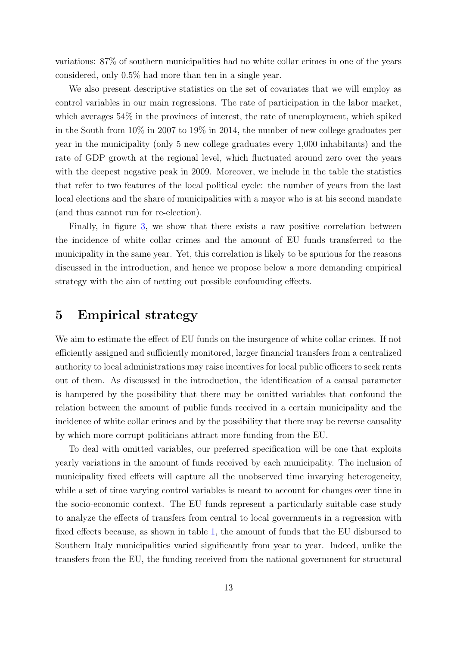variations: 87% of southern municipalities had no white collar crimes in one of the years considered, only 0.5% had more than ten in a single year.

We also present descriptive statistics on the set of covariates that we will employ as control variables in our main regressions. The rate of participation in the labor market, which averages  $54\%$  in the provinces of interest, the rate of unemployment, which spiked in the South from 10% in 2007 to 19% in 2014, the number of new college graduates per year in the municipality (only 5 new college graduates every 1,000 inhabitants) and the rate of GDP growth at the regional level, which fluctuated around zero over the years with the deepest negative peak in 2009. Moreover, we include in the table the statistics that refer to two features of the local political cycle: the number of years from the last local elections and the share of municipalities with a mayor who is at his second mandate (and thus cannot run for re-election).

Finally, in figure [3,](#page-23-0) we show that there exists a raw positive correlation between the incidence of white collar crimes and the amount of EU funds transferred to the municipality in the same year. Yet, this correlation is likely to be spurious for the reasons discussed in the introduction, and hence we propose below a more demanding empirical strategy with the aim of netting out possible confounding effects.

## <span id="page-14-0"></span>5 Empirical strategy

We aim to estimate the effect of EU funds on the insurgence of white collar crimes. If not efficiently assigned and sufficiently monitored, larger financial transfers from a centralized authority to local administrations may raise incentives for local public officers to seek rents out of them. As discussed in the introduction, the identification of a causal parameter is hampered by the possibility that there may be omitted variables that confound the relation between the amount of public funds received in a certain municipality and the incidence of white collar crimes and by the possibility that there may be reverse causality by which more corrupt politicians attract more funding from the EU.

To deal with omitted variables, our preferred specification will be one that exploits yearly variations in the amount of funds received by each municipality. The inclusion of municipality fixed effects will capture all the unobserved time invarying heterogeneity, while a set of time varying control variables is meant to account for changes over time in the socio-economic context. The EU funds represent a particularly suitable case study to analyze the effects of transfers from central to local governments in a regression with fixed effects because, as shown in table [1,](#page-24-0) the amount of funds that the EU disbursed to Southern Italy municipalities varied significantly from year to year. Indeed, unlike the transfers from the EU, the funding received from the national government for structural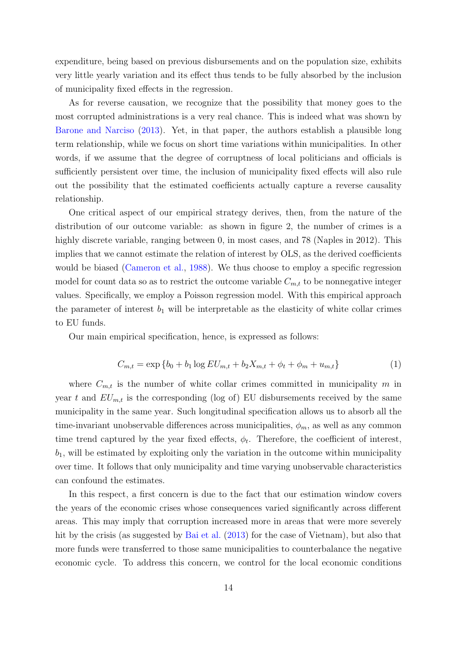expenditure, being based on previous disbursements and on the population size, exhibits very little yearly variation and its effect thus tends to be fully absorbed by the inclusion of municipality fixed effects in the regression.

As for reverse causation, we recognize that the possibility that money goes to the most corrupted administrations is a very real chance. This is indeed what was shown by [Barone and Narciso](#page-29-3) [\(2013\)](#page-29-3). Yet, in that paper, the authors establish a plausible long term relationship, while we focus on short time variations within municipalities. In other words, if we assume that the degree of corruptness of local politicians and officials is sufficiently persistent over time, the inclusion of municipality fixed effects will also rule out the possibility that the estimated coefficients actually capture a reverse causality relationship.

One critical aspect of our empirical strategy derives, then, from the nature of the distribution of our outcome variable: as shown in figure 2, the number of crimes is a highly discrete variable, ranging between 0, in most cases, and 78 (Naples in 2012). This implies that we cannot estimate the relation of interest by OLS, as the derived coefficients would be biased [\(Cameron et al.,](#page-30-9) [1988\)](#page-30-9). We thus choose to employ a specific regression model for count data so as to restrict the outcome variable  $C_{m,t}$  to be nonnegative integer values. Specifically, we employ a Poisson regression model. With this empirical approach the parameter of interest  $b_1$  will be interpretable as the elasticity of white collar crimes to EU funds.

Our main empirical specification, hence, is expressed as follows:

<span id="page-15-0"></span>
$$
C_{m,t} = \exp\{b_0 + b_1 \log EU_{m,t} + b_2 X_{m,t} + \phi_t + \phi_m + u_{m,t}\}\tag{1}
$$

where  $C_{m,t}$  is the number of white collar crimes committed in municipality m in year t and  $EU_{m,t}$  is the corresponding (log of) EU disbursements received by the same municipality in the same year. Such longitudinal specification allows us to absorb all the time-invariant unobservable differences across municipalities,  $\phi_m$ , as well as any common time trend captured by the year fixed effects,  $\phi_t$ . Therefore, the coefficient of interest,  $b_1$ , will be estimated by exploiting only the variation in the outcome within municipality over time. It follows that only municipality and time varying unobservable characteristics can confound the estimates.

In this respect, a first concern is due to the fact that our estimation window covers the years of the economic crises whose consequences varied significantly across different areas. This may imply that corruption increased more in areas that were more severely hit by the crisis (as suggested by [Bai et al.](#page-29-8) [\(2013\)](#page-29-8) for the case of Vietnam), but also that more funds were transferred to those same municipalities to counterbalance the negative economic cycle. To address this concern, we control for the local economic conditions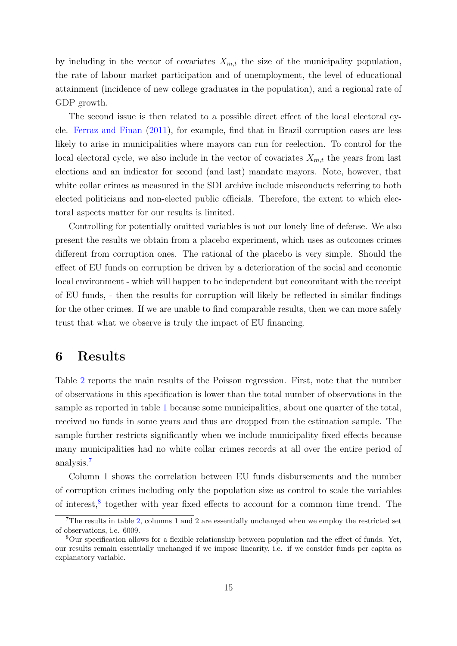by including in the vector of covariates  $X_{m,t}$  the size of the municipality population, the rate of labour market participation and of unemployment, the level of educational attainment (incidence of new college graduates in the population), and a regional rate of GDP growth.

The second issue is then related to a possible direct effect of the local electoral cycle. [Ferraz and Finan](#page-30-3) [\(2011\)](#page-30-3), for example, find that in Brazil corruption cases are less likely to arise in municipalities where mayors can run for reelection. To control for the local electoral cycle, we also include in the vector of covariates  $X_{m,t}$  the years from last elections and an indicator for second (and last) mandate mayors. Note, however, that white collar crimes as measured in the SDI archive include misconducts referring to both elected politicians and non-elected public officials. Therefore, the extent to which electoral aspects matter for our results is limited.

Controlling for potentially omitted variables is not our lonely line of defense. We also present the results we obtain from a placebo experiment, which uses as outcomes crimes different from corruption ones. The rational of the placebo is very simple. Should the effect of EU funds on corruption be driven by a deterioration of the social and economic local environment - which will happen to be independent but concomitant with the receipt of EU funds, - then the results for corruption will likely be reflected in similar findings for the other crimes. If we are unable to find comparable results, then we can more safely trust that what we observe is truly the impact of EU financing.

### <span id="page-16-0"></span>6 Results

Table [2](#page-25-0) reports the main results of the Poisson regression. First, note that the number of observations in this specification is lower than the total number of observations in the sample as reported in table [1](#page-24-0) because some municipalities, about one quarter of the total, received no funds in some years and thus are dropped from the estimation sample. The sample further restricts significantly when we include municipality fixed effects because many municipalities had no white collar crimes records at all over the entire period of analysis.[7](#page-16-1)

Column 1 shows the correlation between EU funds disbursements and the number of corruption crimes including only the population size as control to scale the variables of interest,<sup>[8](#page-16-2)</sup> together with year fixed effects to account for a common time trend. The

<span id="page-16-1"></span><sup>&</sup>lt;sup>7</sup>The results in table [2,](#page-25-0) columns 1 and 2 are essentially unchanged when we employ the restricted set of observations, i.e. 6009.

<span id="page-16-2"></span><sup>8</sup>Our specification allows for a flexible relationship between population and the effect of funds. Yet, our results remain essentially unchanged if we impose linearity, i.e. if we consider funds per capita as explanatory variable.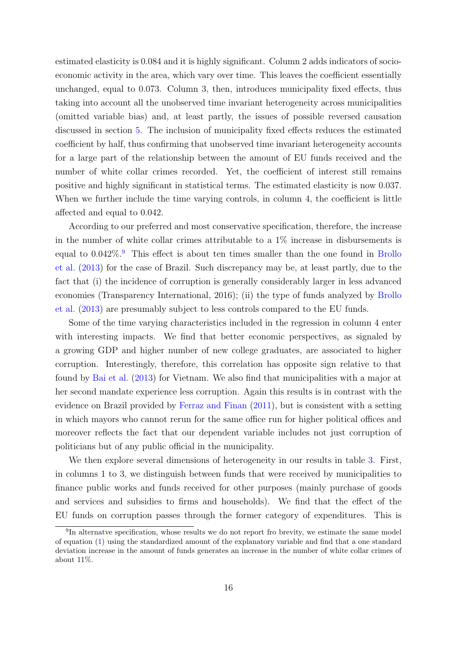estimated elasticity is 0.084 and it is highly significant. Column 2 adds indicators of socioeconomic activity in the area, which vary over time. This leaves the coefficient essentially unchanged, equal to 0.073. Column 3, then, introduces municipality fixed effects, thus taking into account all the unobserved time invariant heterogeneity across municipalities (omitted variable bias) and, at least partly, the issues of possible reversed causation discussed in section [5.](#page-14-0) The inclusion of municipality fixed effects reduces the estimated coefficient by half, thus confirming that unobserved time invariant heterogeneity accounts for a large part of the relationship between the amount of EU funds received and the number of white collar crimes recorded. Yet, the coefficient of interest still remains positive and highly significant in statistical terms. The estimated elasticity is now 0.037. When we further include the time varying controls, in column 4, the coefficient is little affected and equal to 0.042.

According to our preferred and most conservative specification, therefore, the increase in the number of white collar crimes attributable to a  $1\%$  increase in disbursements is equal to  $0.042\%$ . This effect is about ten times smaller than the one found in [Brollo](#page-29-0) [et al.](#page-29-0) [\(2013\)](#page-29-0) for the case of Brazil. Such discrepancy may be, at least partly, due to the fact that (i) the incidence of corruption is generally considerably larger in less advanced economies (Transparency International, 2016); (ii) the type of funds analyzed by [Brollo](#page-29-0) [et al.](#page-29-0) [\(2013\)](#page-29-0) are presumably subject to less controls compared to the EU funds.

Some of the time varying characteristics included in the regression in column 4 enter with interesting impacts. We find that better economic perspectives, as signaled by a growing GDP and higher number of new college graduates, are associated to higher corruption. Interestingly, therefore, this correlation has opposite sign relative to that found by [Bai et al.](#page-29-8) [\(2013\)](#page-29-8) for Vietnam. We also find that municipalities with a major at her second mandate experience less corruption. Again this results is in contrast with the evidence on Brazil provided by [Ferraz and Finan](#page-30-3) [\(2011\)](#page-30-3), but is consistent with a setting in which mayors who cannot rerun for the same office run for higher political offices and moreover reflects the fact that our dependent variable includes not just corruption of politicians but of any public official in the municipality.

We then explore several dimensions of heterogeneity in our results in table [3.](#page-26-0) First, in columns 1 to 3, we distinguish between funds that were received by municipalities to finance public works and funds received for other purposes (mainly purchase of goods and services and subsidies to firms and households). We find that the effect of the EU funds on corruption passes through the former category of expenditures. This is

<span id="page-17-0"></span><sup>&</sup>lt;sup>9</sup>In alternatve specification, whose results we do not report fro brevity, we estimate the same model of equation [\(1\)](#page-15-0) using the standardized amount of the explanatory variable and find that a one standard deviation increase in the amount of funds generates an increase in the number of white collar crimes of about 11%.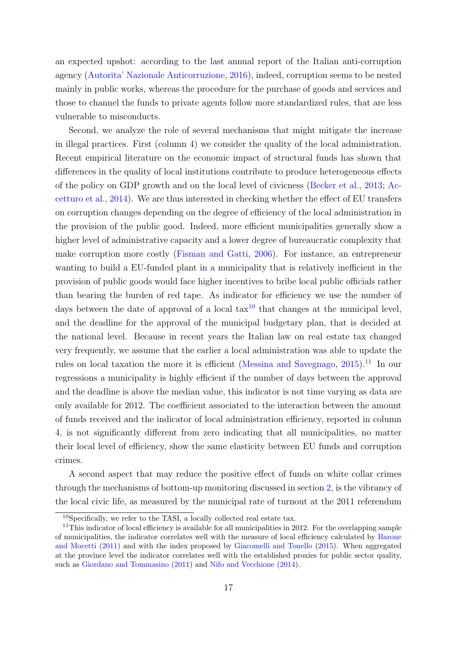an expected upshot: according to the last annual report of the Italian anti-corruption agency [\(Autorita' Nazionale Anticorruzione,](#page-29-9) [2016\)](#page-29-9), indeed, corruption seems to be nested mainly in public works, whereas the procedure for the purchase of goods and services and those to channel the funds to private agents follow more standardized rules, that are less vulnerable to misconducts.

Second, we analyze the role of several mechanisms that might mitigate the increase in illegal practices. First (column 4) we consider the quality of the local administration. Recent empirical literature on the economic impact of structural funds has shown that differences in the quality of local institutions contribute to produce heterogeneous effects of the policy on GDP growth and on the local level of civicness [\(Becker et al.,](#page-29-6) [2013;](#page-29-6) [Ac](#page-29-1)[cetturo et al.,](#page-29-1) [2014\)](#page-29-1). We are thus interested in checking whether the effect of EU transfers on corruption changes depending on the degree of efficiency of the local administration in the provision of the public good. Indeed, more efficient municipalities generally show a higher level of administrative capacity and a lower degree of bureaucratic complexity that make corruption more costly [\(Fisman and Gatti,](#page-30-1) [2006\)](#page-30-1). For instance, an entrepreneur wanting to build a EU-funded plant in a municipality that is relatively inefficient in the provision of public goods would face higher incentives to bribe local public officials rather than bearing the burden of red tape. As indicator for efficiency we use the number of days between the date of approval of a local  $\text{tax}^{10}$  $\text{tax}^{10}$  $\text{tax}^{10}$  that changes at the municipal level, and the deadline for the approval of the municipal budgetary plan, that is decided at the national level. Because in recent years the Italian law on real estate tax changed very frequently, we assume that the earlier a local administration was able to update the rules on local taxation the more it is efficient [\(Messina and Savegnago,](#page-31-8) [2015\)](#page-31-8).<sup>[11](#page-18-1)</sup> In our regressions a municipality is highly efficient if the number of days between the approval and the deadline is above the median value, this indicator is not time varying as data are only available for 2012. The coefficient associated to the interaction between the amount of funds received and the indicator of local administration efficiency, reported in column 4, is not significantly different from zero indicating that all municipalities, no matter their local level of efficiency, show the same elasticity between EU funds and corruption crimes.

A second aspect that may reduce the positive effect of funds on white collar crimes through the mechanisms of bottom-up monitoring discussed in section [2,](#page-8-0) is the vibrancy of the local civic life, as measured by the municipal rate of turnout at the 2011 referendum

<span id="page-18-1"></span><span id="page-18-0"></span><sup>10</sup>Specifically, we refer to the TASI, a locally collected real estate tax.

<sup>&</sup>lt;sup>11</sup>This indicator of local efficiency is available for all municipalities in 2012. For the overlapping sample of municipalities, the indicator correlates well with the measure of local efficiency calculated by [Barone](#page-29-10) [and Mocetti](#page-29-10) [\(2011\)](#page-29-10) and with the index proposed by [Giacomelli and Tonello](#page-30-10) [\(2015\)](#page-30-10). When aggregated at the province level the indicator correlates well with the established proxies for public sector quality, such as [Giordano and Tommasino](#page-30-11) [\(2011\)](#page-30-11) and [Nifo and Vecchione](#page-31-9) [\(2014\)](#page-31-9).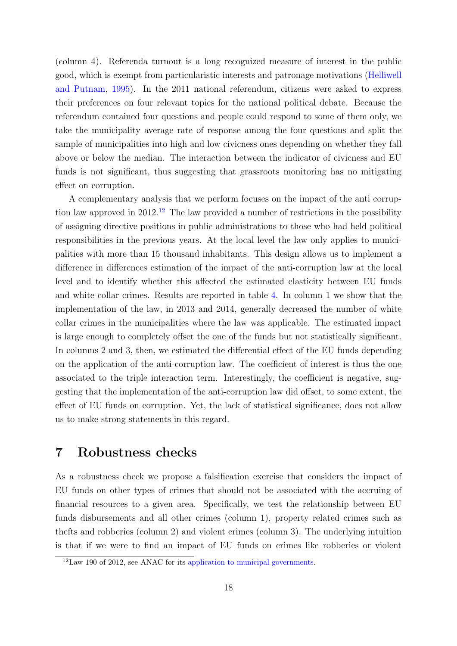(column 4). Referenda turnout is a long recognized measure of interest in the public good, which is exempt from particularistic interests and patronage motivations [\(Helliwell](#page-30-12) [and Putnam,](#page-30-12) [1995\)](#page-30-12). In the 2011 national referendum, citizens were asked to express their preferences on four relevant topics for the national political debate. Because the referendum contained four questions and people could respond to some of them only, we take the municipality average rate of response among the four questions and split the sample of municipalities into high and low civicness ones depending on whether they fall above or below the median. The interaction between the indicator of civicness and EU funds is not significant, thus suggesting that grassroots monitoring has no mitigating effect on corruption.

A complementary analysis that we perform focuses on the impact of the anti corrup-tion law approved in 20[12](#page-19-1).<sup>12</sup> The law provided a number of restrictions in the possibility of assigning directive positions in public administrations to those who had held political responsibilities in the previous years. At the local level the law only applies to municipalities with more than 15 thousand inhabitants. This design allows us to implement a difference in differences estimation of the impact of the anti-corruption law at the local level and to identify whether this affected the estimated elasticity between EU funds and white collar crimes. Results are reported in table [4.](#page-27-0) In column 1 we show that the implementation of the law, in 2013 and 2014, generally decreased the number of white collar crimes in the municipalities where the law was applicable. The estimated impact is large enough to completely offset the one of the funds but not statistically significant. In columns 2 and 3, then, we estimated the differential effect of the EU funds depending on the application of the anti-corruption law. The coefficient of interest is thus the one associated to the triple interaction term. Interestingly, the coefficient is negative, suggesting that the implementation of the anti-corruption law did offset, to some extent, the effect of EU funds on corruption. Yet, the lack of statistical significance, does not allow us to make strong statements in this regard.

#### <span id="page-19-0"></span>7 Robustness checks

As a robustness check we propose a falsification exercise that considers the impact of EU funds on other types of crimes that should not be associated with the accruing of financial resources to a given area. Specifically, we test the relationship between EU funds disbursements and all other crimes (column 1), property related crimes such as thefts and robberies (column 2) and violent crimes (column 3). The underlying intuition is that if we were to find an impact of EU funds on crimes like robberies or violent

<span id="page-19-1"></span> $12$ Law 190 of 2012, see ANAC for its [application to municipal governments.](http://www.anticorruzione.it/portal/public/classic/MenuServizio/FAQ/Anticorruzione)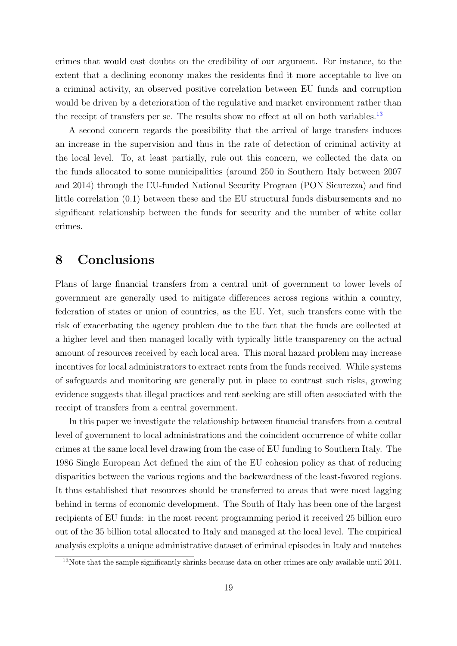crimes that would cast doubts on the credibility of our argument. For instance, to the extent that a declining economy makes the residents find it more acceptable to live on a criminal activity, an observed positive correlation between EU funds and corruption would be driven by a deterioration of the regulative and market environment rather than the receipt of transfers per se. The results show no effect at all on both variables.<sup>[13](#page-20-0)</sup>

A second concern regards the possibility that the arrival of large transfers induces an increase in the supervision and thus in the rate of detection of criminal activity at the local level. To, at least partially, rule out this concern, we collected the data on the funds allocated to some municipalities (around 250 in Southern Italy between 2007 and 2014) through the EU-funded National Security Program (PON Sicurezza) and find little correlation (0.1) between these and the EU structural funds disbursements and no significant relationship between the funds for security and the number of white collar crimes.

## 8 Conclusions

Plans of large financial transfers from a central unit of government to lower levels of government are generally used to mitigate differences across regions within a country, federation of states or union of countries, as the EU. Yet, such transfers come with the risk of exacerbating the agency problem due to the fact that the funds are collected at a higher level and then managed locally with typically little transparency on the actual amount of resources received by each local area. This moral hazard problem may increase incentives for local administrators to extract rents from the funds received. While systems of safeguards and monitoring are generally put in place to contrast such risks, growing evidence suggests that illegal practices and rent seeking are still often associated with the receipt of transfers from a central government.

In this paper we investigate the relationship between financial transfers from a central level of government to local administrations and the coincident occurrence of white collar crimes at the same local level drawing from the case of EU funding to Southern Italy. The 1986 Single European Act defined the aim of the EU cohesion policy as that of reducing disparities between the various regions and the backwardness of the least-favored regions. It thus established that resources should be transferred to areas that were most lagging behind in terms of economic development. The South of Italy has been one of the largest recipients of EU funds: in the most recent programming period it received 25 billion euro out of the 35 billion total allocated to Italy and managed at the local level. The empirical analysis exploits a unique administrative dataset of criminal episodes in Italy and matches

<span id="page-20-0"></span><sup>&</sup>lt;sup>13</sup>Note that the sample significantly shrinks because data on other crimes are only available until 2011.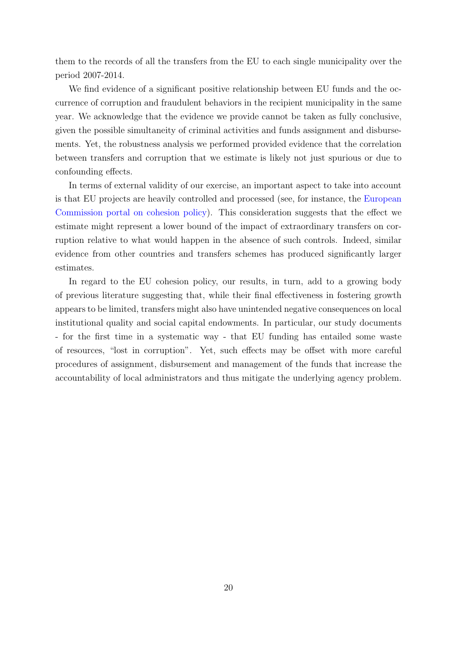them to the records of all the transfers from the EU to each single municipality over the period 2007-2014.

We find evidence of a significant positive relationship between EU funds and the occurrence of corruption and fraudulent behaviors in the recipient municipality in the same year. We acknowledge that the evidence we provide cannot be taken as fully conclusive, given the possible simultaneity of criminal activities and funds assignment and disbursements. Yet, the robustness analysis we performed provided evidence that the correlation between transfers and corruption that we estimate is likely not just spurious or due to confounding effects.

In terms of external validity of our exercise, an important aspect to take into account is that EU projects are heavily controlled and processed (see, for instance, the [European](http://ec.europa.eu/regional_policy/en/faq/#9) [Commission portal on cohesion policy\)](http://ec.europa.eu/regional_policy/en/faq/#9). This consideration suggests that the effect we estimate might represent a lower bound of the impact of extraordinary transfers on corruption relative to what would happen in the absence of such controls. Indeed, similar evidence from other countries and transfers schemes has produced significantly larger estimates.

In regard to the EU cohesion policy, our results, in turn, add to a growing body of previous literature suggesting that, while their final effectiveness in fostering growth appears to be limited, transfers might also have unintended negative consequences on local institutional quality and social capital endowments. In particular, our study documents - for the first time in a systematic way - that EU funding has entailed some waste of resources, "lost in corruption". Yet, such effects may be offset with more careful procedures of assignment, disbursement and management of the funds that increase the accountability of local administrators and thus mitigate the underlying agency problem.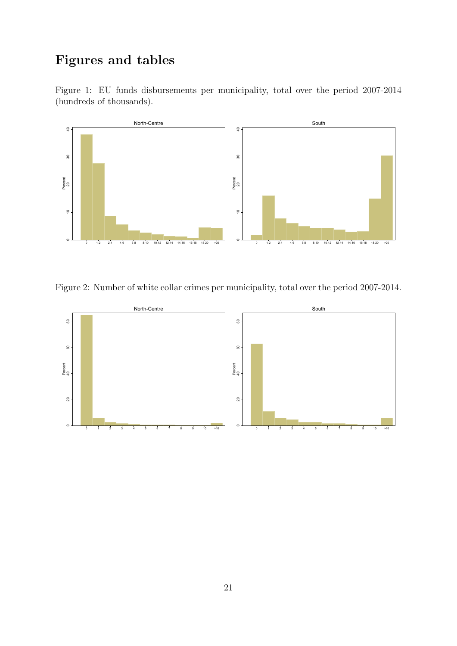## Figures and tables

<span id="page-22-0"></span>Figure 1: EU funds disbursements per municipality, total over the period 2007-2014 (hundreds of thousands).



<span id="page-22-1"></span>Figure 2: Number of white collar crimes per municipality, total over the period 2007-2014.

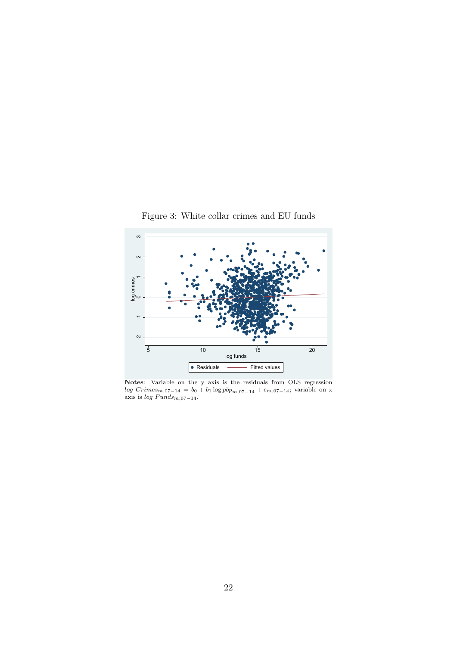

<span id="page-23-0"></span>Figure 3: White collar crimes and EU funds

Notes: Variable on the y axis is the residuals from OLS regression  $log \, C \, \text{times}_{m,07-14} = b_0 + b_1 \log \overline{p} \, \overline{p}_{m,07-14} + e_{m,07-14}$ ; variable on x axis is  $log\ Funds_{m,07-14}$ .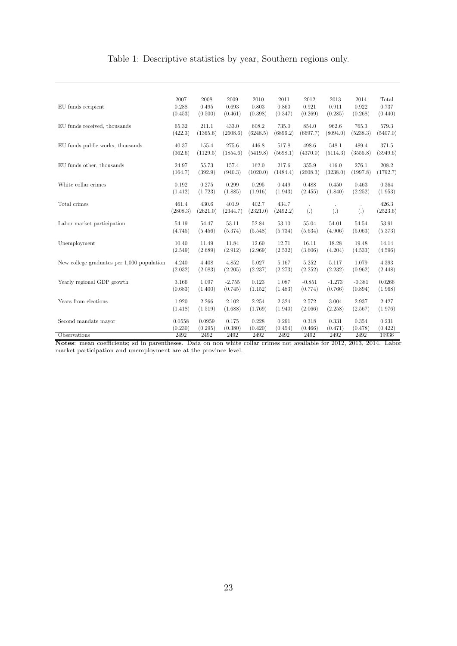#### <span id="page-24-0"></span>Table 1: Descriptive statistics by year, Southern regions only.

|                                            | 2007     | 2008     | 2009     | 2010     | 2011     | 2012              | 2013              | 2014              | Total    |
|--------------------------------------------|----------|----------|----------|----------|----------|-------------------|-------------------|-------------------|----------|
| EU funds recipient                         | 0.288    | 0.495    | 0.693    | 0.803    | 0.860    | 0.921             | 0.911             | 0.922             | 0.737    |
|                                            | (0.453)  | (0.500)  | (0.461)  | (0.398)  | (0.347)  | (0.269)           | (0.285)           | (0.268)           | (0.440)  |
| EU funds received, thousands               | 65.32    | 211.1    | 433.0    | 608.2    | 735.0    | 854.0             | 962.6             | 765.3             | 579.3    |
|                                            | (422.3)  | (1365.6) | (2608.6) | (6248.5) | (6896.2) | (6697.7)          | (8094.0)          | (5238.3)          | (5407.0) |
| EU funds public works, thousands           | 40.37    | 155.4    | 275.6    | 446.8    | 517.8    | 498.6             | 548.1             | 489.4             | 371.5    |
|                                            | (362.6)  | (1129.5) | (1854.6) | (5419.8) | (5698.1) | (4370.0)          | (5114.3)          | (3555.8)          | (3949.6) |
| EU funds other, thousands                  | 24.97    | 55.73    | 157.4    | 162.0    | 217.6    | 355.9             | 416.0             | 276.1             | 208.2    |
|                                            | (164.7)  | (392.9)  | (940.3)  | (1020.0) | (1484.4) | (2608.3)          | (3238.0)          | (1997.8)          | (1792.7) |
| White collar crimes                        | 0.192    | 0.275    | 0.299    | 0.295    | 0.449    | 0.488             | 0.450             | 0.463             | 0.364    |
|                                            | (1.412)  | (1.723)  | (1.885)  | (1.916)  | (1.943)  | (2.455)           | (1.840)           | (2.252)           | (1.953)  |
| Total crimes                               | 461.4    | 430.6    | 401.9    | 402.7    | 434.7    | ÷.                |                   | $\epsilon$        | 426.3    |
|                                            | (2808.3) | (2621.0) | (2344.7) | (2321.0) | (2492.2) | $\left( .\right)$ | $\left( .\right)$ | $\left( .\right)$ | (2523.6) |
| Labor market participation                 | 54.19    | 54.47    | 53.11    | 52.84    | 53.10    | 55.04             | 54.01             | 54.54             | 53.91    |
|                                            | (4.745)  | (5.456)  | (5.374)  | (5.548)  | (5.734)  | (5.634)           | (4.906)           | (5.063)           | (5.373)  |
| Unemployment                               | 10.40    | 11.49    | 11.84    | 12.60    | 12.71    | 16.11             | 18.28             | 19.48             | 14.14    |
|                                            | (2.549)  | (2.689)  | (2.912)  | (2.969)  | (2.532)  | (3.606)           | (4.204)           | (4.533)           | (4.596)  |
| New college graduates per 1,000 population | 4.240    | 4.408    | 4.852    | 5.027    | 5.167    | 5.252             | 5.117             | 1.079             | 4.393    |
|                                            | (2.032)  | (2.083)  | (2.205)  | (2.237)  | (2.273)  | (2.252)           | (2.232)           | (0.962)           | (2.448)  |
| Yearly regional GDP growth                 | 3.166    | 1.097    | $-2.755$ | 0.123    | 1.087    | $-0.851$          | $-1.273$          | $-0.381$          | 0.0266   |
|                                            | (0.683)  | (1.400)  | (0.745)  | (1.152)  | (1.483)  | (0.774)           | (0.766)           | (0.894)           | (1.968)  |
| Years from elections                       | 1.920    | 2.266    | 2.102    | 2.254    | 2.324    | 2.572             | 3.004             | 2.937             | 2.427    |
|                                            | (1.418)  | (1.519)  | (1.688)  | (1.769)  | (1.940)  | (2.066)           | (2.258)           | (2.567)           | (1.976)  |
| Second mandate mayor                       | 0.0558   | 0.0959   | 0.175    | 0.228    | 0.291    | 0.318             | 0.331             | 0.354             | 0.231    |
|                                            | (0.230)  | (0.295)  | (0.380)  | (0.420)  | (0.454)  | (0.466)           | (0.471)           | (0.478)           | (0.422)  |
| Observations                               | 2492     | 2492     | 2492     | 2492     | 2492     | 2492              | 2492              | 2492              | 19936    |

Notes: mean coefficients; sd in parentheses. Data on non white collar crimes not available for 2012, 2013, 2014. Labor market participation and unemployment are at the province level.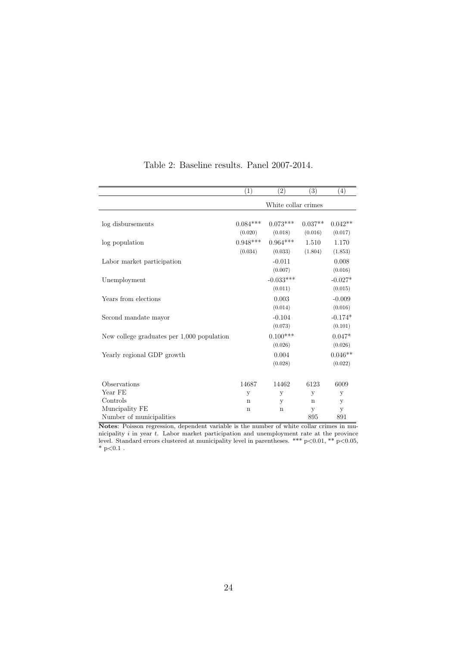|                                              | $\left(1\right)$ | $\left( 2\right)$     | (3)              | $\left( 4\right)$    |
|----------------------------------------------|------------------|-----------------------|------------------|----------------------|
|                                              |                  | White collar crimes   |                  |                      |
|                                              | $0.084***$       | $0.073***$            | $0.037**$        |                      |
| log disbursements                            | (0.020)          | (0.018)               | (0.016)          | $0.042**$<br>(0.017) |
|                                              | $0.948***$       |                       |                  |                      |
| log population                               | (0.034)          | $0.964***$<br>(0.033) | 1.510<br>(1.804) | 1.170<br>(1.853)     |
|                                              |                  |                       |                  |                      |
| Labor market participation                   |                  | $-0.011$              |                  | 0.008                |
|                                              |                  | (0.007)               |                  | (0.016)              |
| Unemployment                                 |                  | $-0.033***$           |                  | $-0.027*$            |
|                                              |                  | (0.011)               |                  | (0.015)              |
| Years from elections                         |                  | 0.003                 |                  | $-0.009$             |
|                                              |                  | (0.014)               |                  | (0.016)              |
| Second mandate mayor                         |                  | $-0.104$              |                  | $-0.174*$            |
|                                              |                  | (0.073)               |                  | (0.101)              |
| New college graduates per $1,000$ population |                  | $0.100***$            |                  | $0.047*$             |
|                                              |                  | (0.026)               |                  | (0.026)              |
| Yearly regional GDP growth                   |                  | 0.004                 |                  | $0.046**$            |
|                                              |                  | (0.028)               |                  | (0.022)              |
|                                              |                  |                       |                  |                      |
| Observations                                 | 14687            | 14462                 | 6123             | 6009                 |
| Year FE                                      | y                | у                     | У                | у                    |
| Controls                                     | $\mathbf n$      | y                     | $\mathbf n$      | у                    |
| Muncipality FE                               | $\mathbf n$      | $\mathbf n$           | y                | у                    |
| Number of municipalities                     |                  |                       | 895              | 891                  |

#### <span id="page-25-0"></span>Table 2: Baseline results. Panel 2007-2014.

Notes: Poisson regression, dependent variable is the number of white collar crimes in municipality  $i$  in year  $t$ . Labor market participation and unemployment rate at the province level. Standard errors clustered at municipality level in parentheses. \*\*\*  $p<0.01$ , \*\*  $p<0.05$ ,  $*$  p<0.1.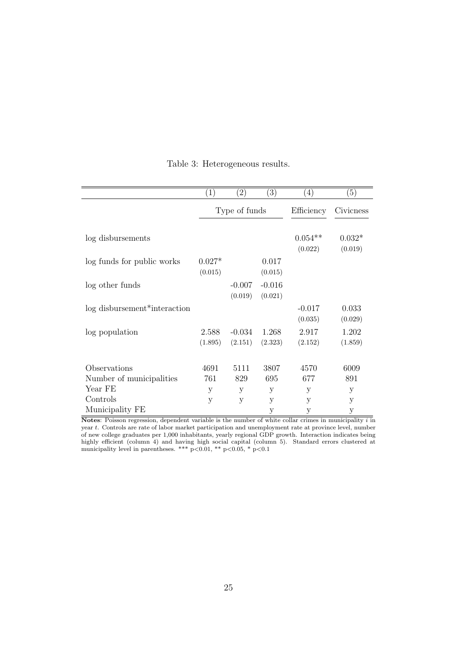|                                           | (1)                 | $\left( 2\right)$   | $\left( 3\right)$   | (4)                  | $\left( 5\right)$   |
|-------------------------------------------|---------------------|---------------------|---------------------|----------------------|---------------------|
|                                           | Type of funds       |                     | Efficiency          | Civicness            |                     |
| log disbursements                         |                     |                     |                     | $0.054**$<br>(0.022) | $0.032*$<br>(0.019) |
| log funds for public works                | $0.027*$<br>(0.015) |                     | 0.017<br>(0.015)    |                      |                     |
| log other funds                           |                     | $-0.007$<br>(0.019) | $-0.016$<br>(0.021) |                      |                     |
| log disbursement <sup>*</sup> interaction |                     |                     |                     | $-0.017$<br>(0.035)  | 0.033<br>(0.029)    |
| log population                            | 2.588<br>(1.895)    | $-0.034$<br>(2.151) | 1.268<br>(2.323)    | 2.917<br>(2.152)     | 1.202<br>(1.859)    |
| Observations<br>Number of municipalities  | 4691<br>761         | 5111<br>829         | 3807<br>695         | 4570<br>677          | 6009<br>891         |
| Year FE                                   | у                   | у                   | у                   | у                    | у                   |
| Controls                                  | y                   | y                   | у                   | у                    | y                   |
| Municipality FE                           |                     |                     | у                   | y                    | у                   |

<span id="page-26-0"></span>Table 3: Heterogeneous results.

Notes: Poisson regression, dependent variable is the number of white collar crimes in municipality  $i$  in year t. Controls are rate of labor market participation and unemployment rate at province level, number of new college graduates per 1,000 inhabitants, yearly regional GDP growth. Interaction indicates being highly efficient (column 4) and having high social capital (column 5). Standard errors clustered at municipality level in parentheses. \*\*\* p<0.01, \*\* p<0.05, \* p<0.1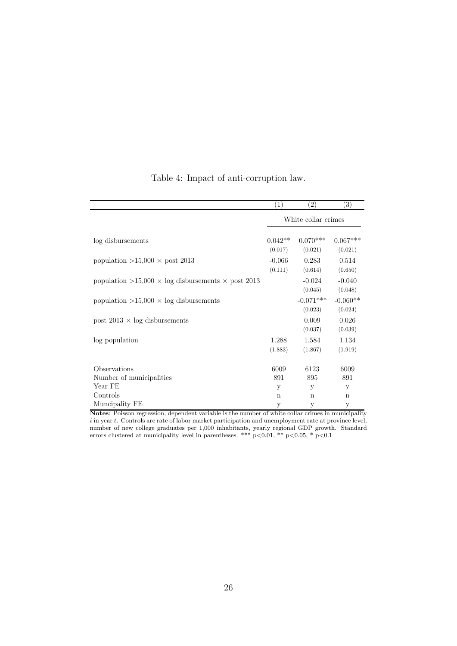|                                                                  | (1)                  | $\left( 2\right)$      | $\left( 3\right)$     |
|------------------------------------------------------------------|----------------------|------------------------|-----------------------|
|                                                                  | White collar crimes  |                        |                       |
| log disbursements                                                | $0.042**$<br>(0.017) | $0.070***$<br>(0.021)  | $0.067***$<br>(0.021) |
| population $>15,000 \times$ post 2013                            | $-0.066$<br>(0.111)  | 0.283<br>(0.614)       | 0.514<br>(0.650)      |
| population >15,000 $\times$ log disbursements $\times$ post 2013 |                      | $-0.024$<br>(0.045)    | $-0.040$<br>(0.048)   |
| population $>15,000 \times \log$ disbursements                   |                      | $-0.071***$<br>(0.023) | $-0.060**$<br>(0.024) |
| post $2013 \times \log$ disbursements                            |                      | 0.009<br>(0.037)       | 0.026<br>(0.039)      |
| log population                                                   | 1.288<br>(1.883)     | 1.584<br>(1.867)       | 1.134<br>(1.919)      |
| Observations                                                     | 6009                 | 6123                   | 6009                  |
| Number of municipalities                                         | 891                  | 895                    | 891                   |
| Year FE<br>Controls                                              | y                    | y                      | y                     |
| Muncipality FE                                                   | $\mathbf n$<br>у     | $\mathbf n$<br>у       | $\mathbf n$<br>у      |

#### <span id="page-27-0"></span>Table 4: Impact of anti-corruption law.

Notes: Poisson regression, dependent variable is the number of white collar crimes in municipality i in year t. Controls are rate of labor market participation and unemployment rate at province level, number of new college graduates per 1,000 inhabitants, yearly regional GDP growth. Standard errors clustered at municipality level in parentheses. \*\*\*  $p<0.01$ , \*\*  $p<0.05$ , \*  $p<0.1$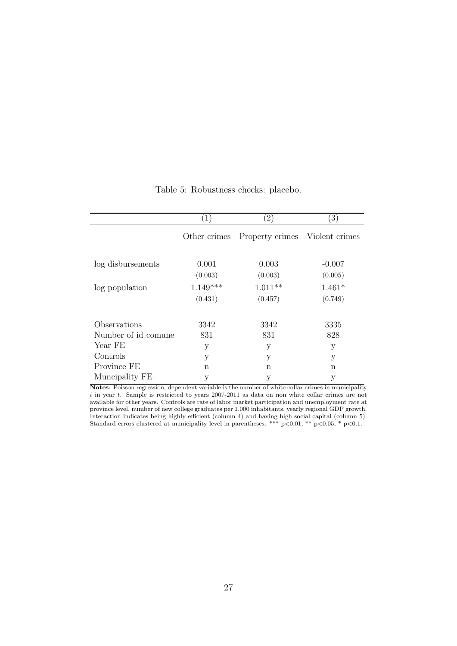|                     | $\left(1\right)$ | $\left( 2\right)$              | $\left( 3\right)$ |
|---------------------|------------------|--------------------------------|-------------------|
|                     | Other crimes     | Property crimes Violent crimes |                   |
| log disbursements   | 0.001            | 0.003                          | $-0.007$          |
|                     | (0.003)          | (0.003)                        | (0.005)           |
| log population      | $1.149***$       | $1.011**$                      | $1.461*$          |
|                     | (0.431)          | (0.457)                        | (0.749)           |
| Observations        | 3342             | 3342                           | 3335              |
| Number of id_comune | 831              | 831                            | 828               |
| Year FE             | у                | у                              | у                 |
| Controls            | y                | у                              | y                 |
| Province FE         | n                | n                              | n                 |
| Muncipality FE      | у                | у                              | у                 |

Table 5: Robustness checks: placebo.

Notes: Poisson regression, dependent variable is the number of white collar crimes in municipality i in year t. Sample is restricted to years 2007-2011 as data on non white collar crimes are not available for other years. Controls are rate of labor market participation and unemployment rate at province level, number of new college graduates per 1,000 inhabitants, yearly regional GDP growth. Interaction indicates being highly efficient (column 4) and having high social capital (column 5). Standard errors clustered at municipality level in parentheses. \*\*\*  $p<0.01$ , \*\*  $p<0.05$ , \*  $p<0.1$ .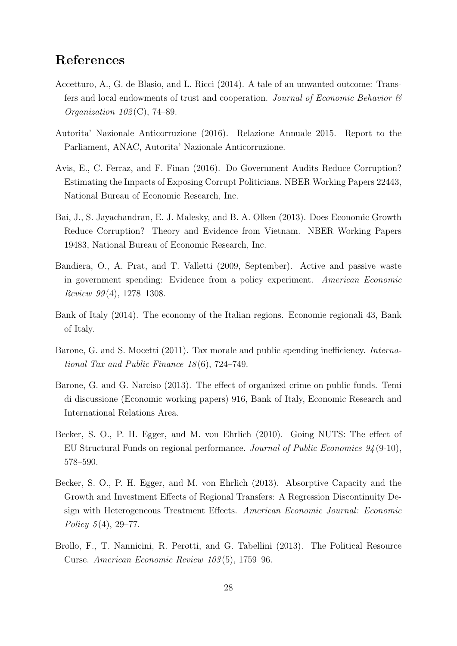## References

- <span id="page-29-1"></span>Accetturo, A., G. de Blasio, and L. Ricci (2014). A tale of an unwanted outcome: Transfers and local endowments of trust and cooperation. Journal of Economic Behavior  $\mathcal{C}$ *Organization 102*(C), 74–89.
- <span id="page-29-9"></span>Autorita' Nazionale Anticorruzione (2016). Relazione Annuale 2015. Report to the Parliament, ANAC, Autorita' Nazionale Anticorruzione.
- <span id="page-29-4"></span>Avis, E., C. Ferraz, and F. Finan (2016). Do Government Audits Reduce Corruption? Estimating the Impacts of Exposing Corrupt Politicians. NBER Working Papers 22443, National Bureau of Economic Research, Inc.
- <span id="page-29-8"></span>Bai, J., S. Jayachandran, E. J. Malesky, and B. A. Olken (2013). Does Economic Growth Reduce Corruption? Theory and Evidence from Vietnam. NBER Working Papers 19483, National Bureau of Economic Research, Inc.
- <span id="page-29-2"></span>Bandiera, O., A. Prat, and T. Valletti (2009, September). Active and passive waste in government spending: Evidence from a policy experiment. American Economic Review  $99(4)$ , 1278–1308.
- <span id="page-29-7"></span>Bank of Italy (2014). The economy of the Italian regions. Economie regionali 43, Bank of Italy.
- <span id="page-29-10"></span>Barone, G. and S. Mocetti (2011). Tax morale and public spending inefficiency. International Tax and Public Finance  $18(6)$ , 724–749.
- <span id="page-29-3"></span>Barone, G. and G. Narciso (2013). The effect of organized crime on public funds. Temi di discussione (Economic working papers) 916, Bank of Italy, Economic Research and International Relations Area.
- <span id="page-29-5"></span>Becker, S. O., P. H. Egger, and M. von Ehrlich (2010). Going NUTS: The effect of EU Structural Funds on regional performance. Journal of Public Economics 94 (9-10), 578–590.
- <span id="page-29-6"></span>Becker, S. O., P. H. Egger, and M. von Ehrlich (2013). Absorptive Capacity and the Growth and Investment Effects of Regional Transfers: A Regression Discontinuity Design with Heterogeneous Treatment Effects. American Economic Journal: Economic Policy  $5(4)$ , 29-77.
- <span id="page-29-0"></span>Brollo, F., T. Nannicini, R. Perotti, and G. Tabellini (2013). The Political Resource Curse. American Economic Review 103 (5), 1759–96.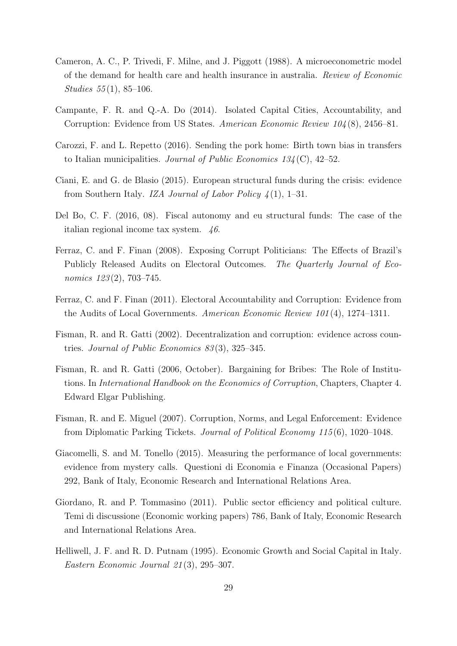- <span id="page-30-9"></span>Cameron, A. C., P. Trivedi, F. Milne, and J. Piggott (1988). A microeconometric model of the demand for health care and health insurance in australia. Review of Economic Studies  $55(1)$ , 85-106.
- <span id="page-30-5"></span>Campante, F. R. and Q.-A. Do (2014). Isolated Capital Cities, Accountability, and Corruption: Evidence from US States. American Economic Review 104 (8), 2456–81.
- <span id="page-30-7"></span>Carozzi, F. and L. Repetto (2016). Sending the pork home: Birth town bias in transfers to Italian municipalities. Journal of Public Economics  $134\text{(C)}$ , 42–52.
- <span id="page-30-0"></span>Ciani, E. and G. de Blasio (2015). European structural funds during the crisis: evidence from Southern Italy. IZA Journal of Labor Policy  $\mathcal{A}(1)$ , 1–31.
- <span id="page-30-8"></span>Del Bo, C. F. (2016, 08). Fiscal autonomy and eu structural funds: The case of the italian regional income tax system.  $46$ .
- <span id="page-30-4"></span>Ferraz, C. and F. Finan (2008). Exposing Corrupt Politicians: The Effects of Brazil's Publicly Released Audits on Electoral Outcomes. The Quarterly Journal of Economics  $123(2)$ , 703–745.
- <span id="page-30-3"></span>Ferraz, C. and F. Finan (2011). Electoral Accountability and Corruption: Evidence from the Audits of Local Governments. American Economic Review 101 (4), 1274–1311.
- <span id="page-30-6"></span>Fisman, R. and R. Gatti (2002). Decentralization and corruption: evidence across countries. Journal of Public Economics 83 (3), 325–345.
- <span id="page-30-1"></span>Fisman, R. and R. Gatti (2006, October). Bargaining for Bribes: The Role of Institutions. In International Handbook on the Economics of Corruption, Chapters, Chapter 4. Edward Elgar Publishing.
- <span id="page-30-2"></span>Fisman, R. and E. Miguel (2007). Corruption, Norms, and Legal Enforcement: Evidence from Diplomatic Parking Tickets. Journal of Political Economy 115 (6), 1020–1048.
- <span id="page-30-10"></span>Giacomelli, S. and M. Tonello (2015). Measuring the performance of local governments: evidence from mystery calls. Questioni di Economia e Finanza (Occasional Papers) 292, Bank of Italy, Economic Research and International Relations Area.
- <span id="page-30-11"></span>Giordano, R. and P. Tommasino (2011). Public sector efficiency and political culture. Temi di discussione (Economic working papers) 786, Bank of Italy, Economic Research and International Relations Area.
- <span id="page-30-12"></span>Helliwell, J. F. and R. D. Putnam (1995). Economic Growth and Social Capital in Italy. Eastern Economic Journal 21 (3), 295–307.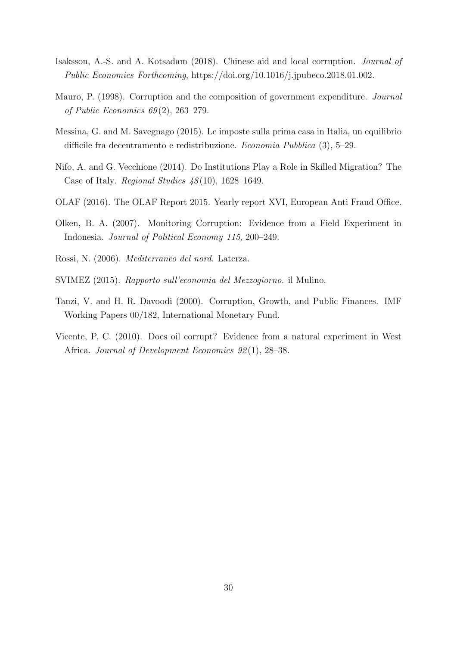- <span id="page-31-4"></span>Isaksson, A.-S. and A. Kotsadam (2018). Chinese aid and local corruption. Journal of Public Economics Forthcoming, https://doi.org/10.1016/j.jpubeco.2018.01.002.
- <span id="page-31-5"></span>Mauro, P. (1998). Corruption and the composition of government expenditure. Journal of Public Economics 69 (2), 263–279.
- <span id="page-31-8"></span>Messina, G. and M. Savegnago (2015). Le imposte sulla prima casa in Italia, un equilibrio difficile fra decentramento e redistribuzione. Economia Pubblica (3), 5–29.
- <span id="page-31-9"></span>Nifo, A. and G. Vecchione (2014). Do Institutions Play a Role in Skilled Migration? The Case of Italy. Regional Studies  $48(10)$ , 1628–1649.
- <span id="page-31-1"></span>OLAF (2016). The OLAF Report 2015. Yearly report XVI, European Anti Fraud Office.
- <span id="page-31-3"></span>Olken, B. A. (2007). Monitoring Corruption: Evidence from a Field Experiment in Indonesia. Journal of Political Economy 115, 200–249.
- <span id="page-31-2"></span>Rossi, N. (2006). Mediterraneo del nord. Laterza.
- <span id="page-31-7"></span>SVIMEZ (2015). Rapporto sull'economia del Mezzogiorno. il Mulino.
- <span id="page-31-6"></span>Tanzi, V. and H. R. Davoodi (2000). Corruption, Growth, and Public Finances. IMF Working Papers 00/182, International Monetary Fund.
- <span id="page-31-0"></span>Vicente, P. C. (2010). Does oil corrupt? Evidence from a natural experiment in West Africa. Journal of Development Economics 92(1), 28–38.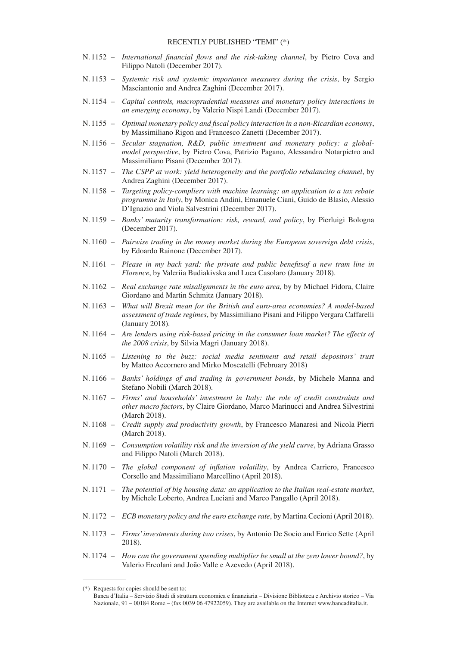- N. 1152 *International financial flows and the risk-taking channel*, by Pietro Cova and Filippo Natoli (December 2017).
- N. 1153 *Systemic risk and systemic importance measures during the crisis*, by Sergio Masciantonio and Andrea Zaghini (December 2017).
- N. 1154 *Capital controls, macroprudential measures and monetary policy interactions in an emerging economy*, by Valerio Nispi Landi (December 2017).
- N. 1155 *Optimal monetary policy and fiscal policy interaction in a non-Ricardian economy*, by Massimiliano Rigon and Francesco Zanetti (December 2017).
- N. 1156 *Secular stagnation, R&D, public investment and monetary policy: a globalmodel perspective*, by Pietro Cova, Patrizio Pagano, Alessandro Notarpietro and Massimiliano Pisani (December 2017).
- N. 1157 *The CSPP at work: yield heterogeneity and the portfolio rebalancing channel*, by Andrea Zaghini (December 2017).
- N. 1158 *Targeting policy-compliers with machine learning: an application to a tax rebate programme in Italy*, by Monica Andini, Emanuele Ciani, Guido de Blasio, Alessio D'Ignazio and Viola Salvestrini (December 2017).
- N. 1159 *Banks' maturity transformation: risk, reward, and policy*, by Pierluigi Bologna (December 2017).
- N. 1160 *Pairwise trading in the money market during the European sovereign debt crisis*, by Edoardo Rainone (December 2017).
- N. 1161 *Please in my back yard: the private and public benefitsof a new tram line in Florence*, by Valeriia Budiakivska and Luca Casolaro (January 2018).
- N. 1162 *Real exchange rate misalignments in the euro area*, by by Michael Fidora, Claire Giordano and Martin Schmitz (January 2018).
- N. 1163 *What will Brexit mean for the British and euro-area economies? A model-based assessment of trade regimes*, by Massimiliano Pisani and Filippo Vergara Caffarelli (January 2018).
- N. 1164 *Are lenders using risk-based pricing in the consumer loan market? The effects of the 2008 crisis*, by Silvia Magri (January 2018).
- N. 1165 *Listening to the buzz: social media sentiment and retail depositors' trust* by Matteo Accornero and Mirko Moscatelli (February 2018)
- N. 1166 *Banks' holdings of and trading in government bonds*, by Michele Manna and Stefano Nobili (March 2018).
- N. 1167 *Firms' and households' investment in Italy: the role of credit constraints and other macro factors*, by Claire Giordano, Marco Marinucci and Andrea Silvestrini (March 2018).
- N. 1168 *Credit supply and productivity growth*, by Francesco Manaresi and Nicola Pierri (March 2018).
- N. 1169 *Consumption volatility risk and the inversion of the yield curve*, by Adriana Grasso and Filippo Natoli (March 2018).
- N. 1170 *The global component of inflation volatility*, by Andrea Carriero, Francesco Corsello and Massimiliano Marcellino (April 2018).
- N. 1171 *The potential of big housing data: an application to the Italian real-estate market*, by Michele Loberto, Andrea Luciani and Marco Pangallo (April 2018).
- N. 1172 *ECB monetary policy and the euro exchange rate*, by Martina Cecioni (April 2018).
- N. 1173 *Firms' investments during two crises*, by Antonio De Socio and Enrico Sette (April 2018).
- N. 1174 *How can the government spending multiplier be small at the zero lower bound?*, by Valerio Ercolani and João Valle e Azevedo (April 2018).

<sup>(\*)</sup> Requests for copies should be sent to:

Banca d'Italia – Servizio Studi di struttura economica e finanziaria – Divisione Biblioteca e Archivio storico – Via Nazionale, 91 – 00184 Rome – (fax 0039 06 47922059). They are available on the Internet www.bancaditalia.it.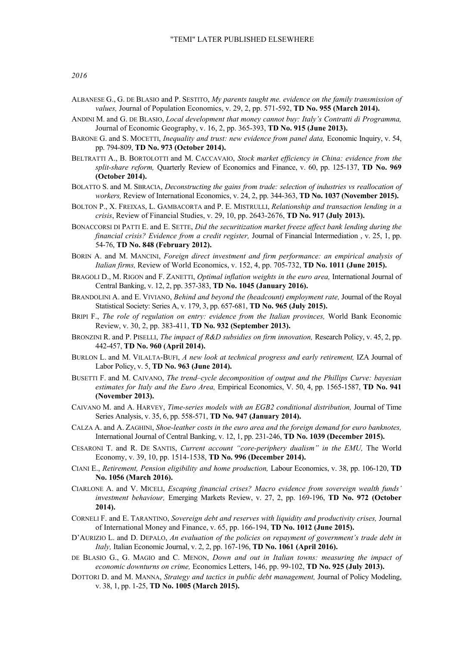- ALBANESE G., G. DE BLASIO and P. SESTITO, *My parents taught me. evidence on the family transmission of values,* Journal of Population Economics, v. 29, 2, pp. 571-592, **TD No. 955 (March 2014).**
- ANDINI M. and G. DE BLASIO, *Local development that money cannot buy: Italy's Contratti di Programma,* Journal of Economic Geography, v. 16, 2, pp. 365-393, **TD No. 915 (June 2013).**
- BARONE G. and S. MOCETTI, *Inequality and trust: new evidence from panel data,* Economic Inquiry, v. 54, pp. 794-809, **TD No. 973 (October 2014).**
- BELTRATTI A., B. BORTOLOTTI and M. CACCAVAIO, *Stock market efficiency in China: evidence from the split-share reform,* Quarterly Review of Economics and Finance, v. 60, pp. 125-137, **TD No. 969 (October 2014).**
- BOLATTO S. and M. SBRACIA, *Deconstructing the gains from trade: selection of industries vs reallocation of workers,* Review of International Economics, v. 24, 2, pp. 344-363, **TD No. 1037 (November 2015).**
- BOLTON P., X. FREIXAS, L. GAMBACORTA and P. E. MISTRULLI, *Relationship and transaction lending in a crisis*, Review of Financial Studies, v. 29, 10, pp. 2643-2676, **TD No. 917 (July 2013).**
- BONACCORSI DI PATTI E. and E. SETTE, *Did the securitization market freeze affect bank lending during the financial crisis? Evidence from a credit register,* Journal of Financial Intermediation , v. 25, 1, pp. 54-76, **TD No. 848 (February 2012).**
- BORIN A. and M. MANCINI, *Foreign direct investment and firm performance: an empirical analysis of Italian firms,* Review of World Economics, v. 152, 4, pp. 705-732, **TD No. 1011 (June 2015).**
- BRAGOLI D., M. RIGON and F. ZANETTI, *Optimal inflation weights in the euro area,* International Journal of Central Banking, v. 12, 2, pp. 357-383, **TD No. 1045 (January 2016).**
- BRANDOLINI A. and E. VIVIANO, *Behind and beyond the (headcount) employment rate,* Journal of the Royal Statistical Society: Series A, v. 179, 3, pp. 657-681, **TD No. 965 (July 2015).**
- BRIPI F., *The role of regulation on entry: evidence from the Italian provinces,* World Bank Economic Review, v. 30, 2, pp. 383-411, **TD No. 932 (September 2013).**
- BRONZINI R. and P. PISELLI, *The impact of R&D subsidies on firm innovation,* Research Policy, v. 45, 2, pp. 442-457, **TD No. 960 (April 2014).**
- BURLON L. and M. VILALTA-BUFI, *A new look at technical progress and early retirement,* IZA Journal of Labor Policy, v. 5, **TD No. 963 (June 2014).**
- BUSETTI F. and M. CAIVANO, *The trend–cycle decomposition of output and the Phillips Curve: bayesian estimates for Italy and the Euro Area,* Empirical Economics, V. 50, 4, pp. 1565-1587, **TD No. 941 (November 2013).**
- CAIVANO M. and A. HARVEY, *Time-series models with an EGB2 conditional distribution,* Journal of Time Series Analysis, v. 35, 6, pp. 558-571, **TD No. 947 (January 2014).**
- CALZA A. and A. ZAGHINI, *Shoe-leather costs in the euro area and the foreign demand for euro banknotes,* International Journal of Central Banking, v. 12, 1, pp. 231-246, **TD No. 1039 (December 2015).**
- CESARONI T. and R. DE SANTIS, *Current account "core-periphery dualism" in the EMU,* The World Economy, v. 39, 10, pp. 1514-1538, **TD No. 996 (December 2014).**
- CIANI E., *Retirement, Pension eligibility and home production,* Labour Economics, v. 38, pp. 106-120, **TD No. 1056 (March 2016).**
- CIARLONE A. and V. MICELI, *Escaping financial crises? Macro evidence from sovereign wealth funds' investment behaviour,* Emerging Markets Review, v. 27, 2, pp. 169-196, **TD No. 972 (October 2014).**
- CORNELI F. and E. TARANTINO, *Sovereign debt and reserves with liquidity and productivity crises,* Journal of International Money and Finance, v. 65, pp. 166-194, **TD No. 1012 (June 2015).**
- D'AURIZIO L. and D. DEPALO, *An evaluation of the policies on repayment of government's trade debt in Italy,* Italian Economic Journal, v. 2, 2, pp. 167-196, **TD No. 1061 (April 2016).**
- DE BLASIO G., G. MAGIO and C. MENON, *Down and out in Italian towns: measuring the impact of economic downturns on crime,* Economics Letters, 146, pp. 99-102, **TD No. 925 (July 2013).**
- DOTTORI D. and M. MANNA, *Strategy and tactics in public debt management,* Journal of Policy Modeling, v. 38, 1, pp. 1-25, **TD No. 1005 (March 2015).**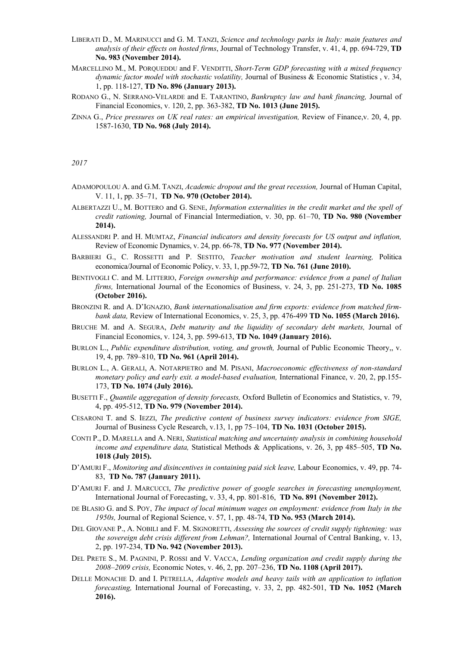- LIBERATI D., M. MARINUCCI and G. M. TANZI, *Science and technology parks in Italy: main features and analysis of their effects on hosted firms*, Journal of Technology Transfer, v. 41, 4, pp. 694-729, **TD No. 983 (November 2014).**
- MARCELLINO M., M. PORQUEDDU and F. VENDITTI, *Short-Term GDP forecasting with a mixed frequency dynamic factor model with stochastic volatility,* Journal of Business & Economic Statistics , v. 34, 1, pp. 118-127, **TD No. 896 (January 2013).**
- RODANO G., N. SERRANO-VELARDE and E. TARANTINO, *Bankruptcy law and bank financing,* Journal of Financial Economics, v. 120, 2, pp. 363-382, **TD No. 1013 (June 2015).**
- ZINNA G., *Price pressures on UK real rates: an empirical investigation,* Review of Finance,v. 20, 4, pp. 1587-1630, **TD No. 968 (July 2014).**

*2017* 

- ADAMOPOULOU A. and G.M. TANZI, *Academic dropout and the great recession,* Journal of Human Capital, V. 11, 1, pp. 35–71,**TD No. 970 (October 2014).**
- ALBERTAZZI U., M. BOTTERO and G. SENE, *Information externalities in the credit market and the spell of credit rationing,* Journal of Financial Intermediation, v. 30, pp. 61–70, **TD No. 980 (November 2014).**
- ALESSANDRI P. and H. MUMTAZ, *Financial indicators and density forecasts for US output and inflation,* Review of Economic Dynamics, v. 24, pp. 66-78, **TD No. 977 (November 2014).**
- BARBIERI G., C. ROSSETTI and P. SESTITO, *Teacher motivation and student learning,* Politica economica/Journal of Economic Policy, v. 33, 1, pp.59-72, **TD No. 761 (June 2010).**
- BENTIVOGLI C. and M. LITTERIO, *Foreign ownership and performance: evidence from a panel of Italian firms,* International Journal of the Economics of Business, v. 24, 3, pp. 251-273, **TD No. 1085 (October 2016).**
- BRONZINI R. and A. D'IGNAZIO, *Bank internationalisation and firm exports: evidence from matched firmbank data,* Review of International Economics, v. 25, 3, pp. 476-499 **TD No. 1055 (March 2016).**
- BRUCHE M. and A. SEGURA, *Debt maturity and the liquidity of secondary debt markets,* Journal of Financial Economics, v. 124, 3, pp. 599-613, **TD No. 1049 (January 2016).**
- BURLON L., *Public expenditure distribution, voting, and growth,* Journal of Public Economic Theory,, v. 19, 4, pp. 789–810, **TD No. 961 (April 2014).**
- BURLON L., A. GERALI, A. NOTARPIETRO and M. PISANI, *Macroeconomic effectiveness of non-standard monetary policy and early exit. a model-based evaluation,* International Finance, v. 20, 2, pp.155- 173, **TD No. 1074 (July 2016).**
- BUSETTI F., *Quantile aggregation of density forecasts,* Oxford Bulletin of Economics and Statistics, v. 79, 4, pp. 495-512, **TD No. 979 (November 2014).**
- CESARONI T. and S. IEZZI, *The predictive content of business survey indicators: evidence from SIGE,* Journal of Business Cycle Research, v.13, 1, pp 75–104, **TD No. 1031 (October 2015).**
- CONTI P., D. MARELLA and A. NERI, *Statistical matching and uncertainty analysis in combining household income and expenditure data,* Statistical Methods & Applications, v. 26, 3, pp 485–505, **TD No. 1018 (July 2015).**
- D'AMURI F., *Monitoring and disincentives in containing paid sick leave,* Labour Economics, v. 49, pp. 74- 83,**TD No. 787 (January 2011).**
- D'AMURI F. and J. MARCUCCI, *The predictive power of google searches in forecasting unemployment,* International Journal of Forecasting, v. 33, 4, pp. 801-816,**TD No. 891 (November 2012).**
- DE BLASIO G. and S. POY, *The impact of local minimum wages on employment: evidence from Italy in the 1950s,* Journal of Regional Science, v. 57, 1, pp. 48-74, **TD No. 953 (March 2014).**
- DEL GIOVANE P., A. NOBILI and F. M. SIGNORETTI, *Assessing the sources of credit supply tightening: was the sovereign debt crisis different from Lehman?,* International Journal of Central Banking, v. 13, 2, pp. 197-234, **TD No. 942 (November 2013).**
- DEL PRETE S., M. PAGNINI, P. ROSSI and V. VACCA, *Lending organization and credit supply during the 2008–2009 crisis,* Economic Notes, v. 46, 2, pp. 207–236, **TD No. 1108 (April 2017).**
- DELLE MONACHE D. and I. PETRELLA, *Adaptive models and heavy tails with an application to inflation forecasting,* International Journal of Forecasting, v. 33, 2, pp. 482-501, **TD No. 1052 (March 2016).**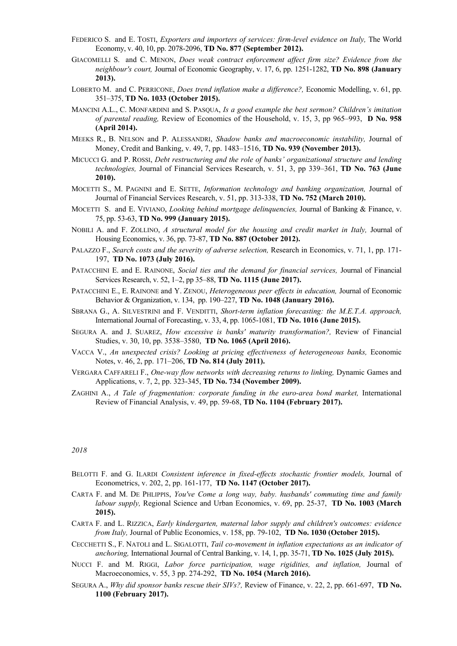- FEDERICO S. and E. TOSTI, *Exporters and importers of services: firm-level evidence on Italy,* The World Economy, v. 40, 10, pp. 2078-2096, **TD No. 877 (September 2012).**
- GIACOMELLI S. and C. MENON, *Does weak contract enforcement affect firm size? Evidence from the neighbour's court,* Journal of Economic Geography, v. 17, 6, pp. 1251-1282, **TD No. 898 (January 2013).**
- LOBERTO M. and C. PERRICONE, *Does trend inflation make a difference?,* Economic Modelling, v. 61, pp. 351–375, **TD No. 1033 (October 2015).**
- MANCINI A.L., C. MONFARDINI and S. PASQUA, *Is a good example the best sermon? Children's imitation of parental reading,* Review of Economics of the Household, v. 15, 3, pp 965–993,**D No. 958 (April 2014).**
- MEEKS R., B. NELSON and P. ALESSANDRI, *Shadow banks and macroeconomic instability,* Journal of Money, Credit and Banking, v. 49, 7, pp. 1483–1516, **TD No. 939 (November 2013).**
- MICUCCI G. and P. ROSSI, *Debt restructuring and the role of banks' organizational structure and lending technologies,* Journal of Financial Services Research, v. 51, 3, pp 339–361, **TD No. 763 (June 2010).**
- MOCETTI S., M. PAGNINI and E. SETTE, *Information technology and banking organization,* Journal of Journal of Financial Services Research, v. 51, pp. 313-338, **TD No. 752 (March 2010).**
- MOCETTI S. and E. VIVIANO, *Looking behind mortgage delinquencies,* Journal of Banking & Finance, v. 75, pp. 53-63, **TD No. 999 (January 2015).**
- NOBILI A. and F. ZOLLINO, *A structural model for the housing and credit market in Italy,* Journal of Housing Economics, v. 36, pp. 73-87, **TD No. 887 (October 2012).**
- PALAZZO F., *Search costs and the severity of adverse selection,* Research in Economics, v. 71, 1, pp. 171- 197,**TD No. 1073 (July 2016).**
- PATACCHINI E. and E. RAINONE, *Social ties and the demand for financial services,* Journal of Financial Services Research, v. 52, 1–2, pp 35–88, **TD No. 1115 (June 2017).**
- PATACCHINI E., E. RAINONE and Y. ZENOU, *Heterogeneous peer effects in education,* Journal of Economic Behavior & Organization, v. 134, pp. 190–227, **TD No. 1048 (January 2016).**
- SBRANA G., A. SILVESTRINI and F. VENDITTI, *Short-term inflation forecasting: the M.E.T.A. approach,* International Journal of Forecasting, v. 33, 4, pp. 1065-1081, **TD No. 1016 (June 2015).**
- SEGURA A. and J. SUAREZ, *How excessive is banks' maturity transformation?,* Review of Financial Studies, v. 30, 10, pp. 3538–3580,**TD No. 1065 (April 2016).**
- VACCA V., *An unexpected crisis? Looking at pricing effectiveness of heterogeneous banks,* Economic Notes, v. 46, 2, pp. 171–206, **TD No. 814 (July 2011).**
- VERGARA CAFFARELI F., *One-way flow networks with decreasing returns to linking,* Dynamic Games and Applications, v. 7, 2, pp. 323-345, **TD No. 734 (November 2009).**
- ZAGHINI A., *A Tale of fragmentation: corporate funding in the euro-area bond market,* International Review of Financial Analysis, v. 49, pp. 59-68, **TD No. 1104 (February 2017).**

#### *2018*

- BELOTTI F. and G. ILARDI *Consistent inference in fixed-effects stochastic frontier models,* Journal of Econometrics, v. 202, 2, pp. 161-177,**TD No. 1147 (October 2017).**
- CARTA F. and M. DE PHLIPPIS, *You've Come a long way, baby. husbands' commuting time and family labour supply,* Regional Science and Urban Economics, v. 69, pp. 25-37,**TD No. 1003 (March 2015).**
- CARTA F. and L. RIZZICA, *Early kindergarten, maternal labor supply and children's outcomes: evidence from Italy,* Journal of Public Economics, v. 158, pp. 79-102,**TD No. 1030 (October 2015).**
- CECCHETTI S., F. NATOLI and L. SIGALOTTI, *Tail co-movement in inflation expectations as an indicator of anchoring,* International Journal of Central Banking, v. 14, 1, pp. 35-71, **TD No. 1025 (July 2015).**
- NUCCI F. and M. RIGGI, *Labor force participation, wage rigidities, and inflation,* Journal of Macroeconomics, v. 55, 3 pp. 274-292,**TD No. 1054 (March 2016).**
- SEGURA A., *Why did sponsor banks rescue their SIVs?,* Review of Finance, v. 22, 2, pp. 661-697,**TD No. 1100 (February 2017).**